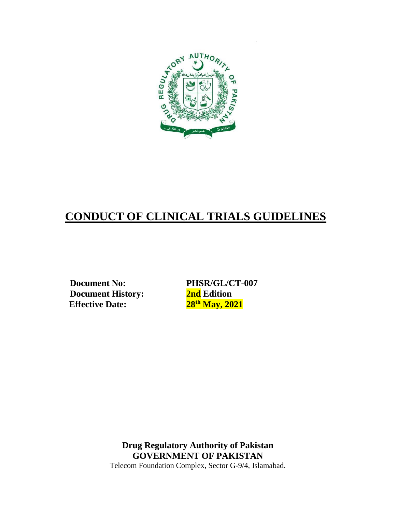

# **CONDUCT OF CLINICAL TRIALS GUIDELINES**

**Document No:**<br> **Document History:**<br> **2nd** Edition **Document History: Effective Date: 28th May, 2021**

**Drug Regulatory Authority of Pakistan GOVERNMENT OF PAKISTAN** Telecom Foundation Complex, Sector G-9/4, Islamabad.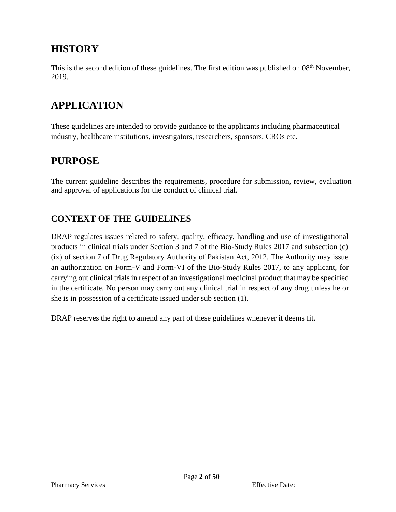# **HISTORY**

This is the second edition of these guidelines. The first edition was published on 08<sup>th</sup> November, 2019.

# **APPLICATION**

These guidelines are intended to provide guidance to the applicants including pharmaceutical industry, healthcare institutions, investigators, researchers, sponsors, CROs etc.

# **PURPOSE**

The current guideline describes the requirements, procedure for submission, review, evaluation and approval of applications for the conduct of clinical trial.

# **CONTEXT OF THE GUIDELINES**

DRAP regulates issues related to safety, quality, efficacy, handling and use of investigational products in clinical trials under Section 3 and 7 of the Bio-Study Rules 2017 and subsection (c) (ix) of section 7 of Drug Regulatory Authority of Pakistan Act, 2012. The Authority may issue an authorization on Form-V and Form-VI of the Bio-Study Rules 2017, to any applicant, for carrying out clinical trials in respect of an investigational medicinal product that may be specified in the certificate. No person may carry out any clinical trial in respect of any drug unless he or she is in possession of a certificate issued under sub section (1).

DRAP reserves the right to amend any part of these guidelines whenever it deems fit.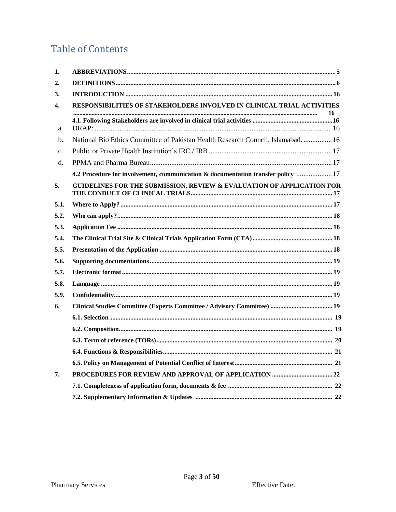# **Table of Contents**

| 1.               |                                                                                   |  |
|------------------|-----------------------------------------------------------------------------------|--|
| 2.               |                                                                                   |  |
| 3.               |                                                                                   |  |
| $\overline{4}$ . | RESPONSIBILITIES OF STAKEHOLDERS INVOLVED IN CLINICAL TRIAL ACTIVITIES            |  |
| a.               | 16                                                                                |  |
| $\mathbf b$ .    | National Bio Ethics Committee of Pakistan Health Research Council, Islamabad.  16 |  |
| $\mathbf{c}$ .   |                                                                                   |  |
| d.               |                                                                                   |  |
|                  | 4.2 Procedure for involvement, communication & documentation transfer policy  17  |  |
| 5.               | <b>GUIDELINES FOR THE SUBMISSION, REVIEW &amp; EVALUATION OF APPLICATION FOR</b>  |  |
| 5.1.             |                                                                                   |  |
| 5.2.             |                                                                                   |  |
| 5.3.             |                                                                                   |  |
| 5.4.             |                                                                                   |  |
| 5.5.             |                                                                                   |  |
| 5.6.             |                                                                                   |  |
| 5.7.             |                                                                                   |  |
| 5.8.             |                                                                                   |  |
| 5.9.             |                                                                                   |  |
| 6.               |                                                                                   |  |
|                  |                                                                                   |  |
|                  |                                                                                   |  |
|                  |                                                                                   |  |
|                  |                                                                                   |  |
|                  |                                                                                   |  |
| 7.               |                                                                                   |  |
|                  |                                                                                   |  |
|                  |                                                                                   |  |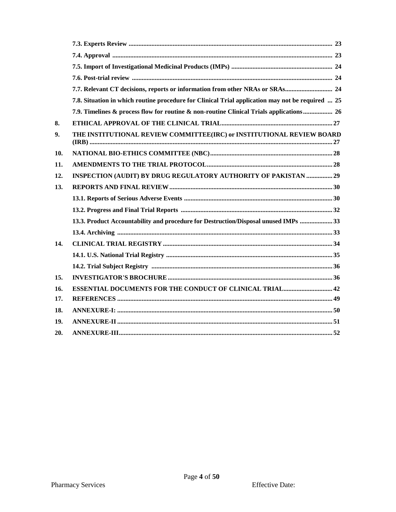|     | 7.7. Relevant CT decisions, reports or information from other NRAs or SRAs 24                    |
|-----|--------------------------------------------------------------------------------------------------|
|     | 7.8. Situation in which routine procedure for Clinical Trial application may not be required  25 |
|     | 7.9. Timelines & process flow for routine & non-routine Clinical Trials applications 26          |
| 8.  |                                                                                                  |
| 9.  | THE INSTITUTIONAL REVIEW COMMITTEE(IRC) or INSTITUTIONAL REVIEW BOARD                            |
| 10. |                                                                                                  |
| 11. |                                                                                                  |
| 12. | INSPECTION (AUDIT) BY DRUG REGULATORY AUTHORITY OF PAKISTAN 29                                   |
| 13. |                                                                                                  |
|     |                                                                                                  |
|     |                                                                                                  |
|     | 13.3. Product Accountability and procedure for Destruction/Disposal unused IMPs  33              |
|     |                                                                                                  |
| 14. |                                                                                                  |
|     |                                                                                                  |
|     |                                                                                                  |
| 15. |                                                                                                  |
| 16. | <b>ESSENTIAL DOCUMENTS FOR THE CONDUCT OF CLINICAL TRIAL 42</b>                                  |
| 17. |                                                                                                  |
| 18. |                                                                                                  |
| 19. |                                                                                                  |
| 20. |                                                                                                  |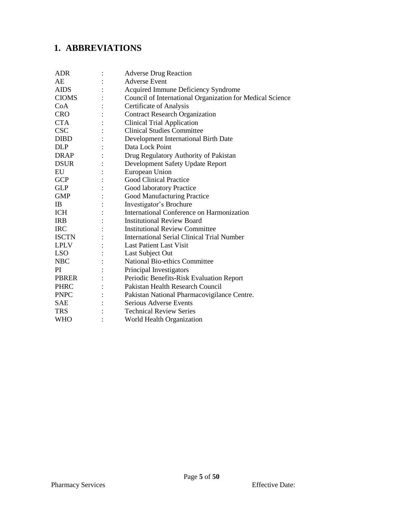# <span id="page-4-0"></span>**1. ABBREVIATIONS**

| <b>ADR</b>   | <b>Adverse Drug Reaction</b>                              |
|--------------|-----------------------------------------------------------|
| AE           | <b>Adverse Event</b>                                      |
| <b>AIDS</b>  | Acquired Immune Deficiency Syndrome                       |
| <b>CIOMS</b> | Council of International Organization for Medical Science |
| CoA          | Certificate of Analysis                                   |
| <b>CRO</b>   | <b>Contract Research Organization</b>                     |
| <b>CTA</b>   | <b>Clinical Trial Application</b>                         |
| <b>CSC</b>   | <b>Clinical Studies Committee</b>                         |
| <b>DIBD</b>  | Development International Birth Date                      |
| DLP          | Data Lock Point                                           |
| <b>DRAP</b>  | Drug Regulatory Authority of Pakistan                     |
| <b>DSUR</b>  | Development Safety Update Report                          |
| EU           | European Union                                            |
| <b>GCP</b>   | <b>Good Clinical Practice</b>                             |
| <b>GLP</b>   | Good laboratory Practice                                  |
| GMP          | Good Manufacturing Practice                               |
| IB.          | Investigator's Brochure                                   |
| <b>ICH</b>   | International Conference on Harmonization                 |
| <b>IRB</b>   | <b>Institutional Review Board</b>                         |
| <b>IRC</b>   | <b>Institutional Review Committee</b>                     |
| <b>ISCTN</b> | <b>International Serial Clinical Trial Number</b>         |
| <b>LPLV</b>  | <b>Last Patient Last Visit</b>                            |
| <b>LSO</b>   | Last Subject Out                                          |
| NBC          | <b>National Bio-ethics Committee</b>                      |
| PI           | Principal Investigators                                   |
| <b>PBRER</b> | Periodic Benefits-Risk Evaluation Report                  |
| <b>PHRC</b>  | Pakistan Health Research Council                          |
| <b>PNPC</b>  | Pakistan National Pharmacovigilance Centre.               |
| SAE          | Serious Adverse Events                                    |
| <b>TRS</b>   | <b>Technical Review Series</b>                            |
| WHO          | World Health Organization                                 |
|              |                                                           |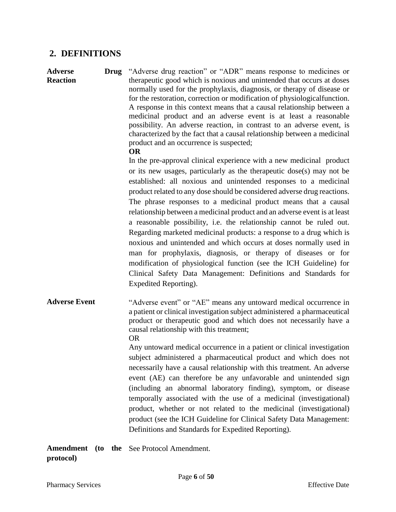# <span id="page-5-0"></span>**2. DEFINITIONS**

**Adverse Drug Reaction** "Adverse drug reaction" or "ADR" means response to medicines or therapeutic good which is noxious and unintended that occurs at doses normally used for the prophylaxis, diagnosis, or therapy of disease or for the restoration, correction or modification of physiologicalfunction. A response in this context means that a causal relationship between a medicinal product and an adverse event is at least a reasonable possibility. An adverse reaction, in contrast to an adverse event, is characterized by the fact that a causal relationship between a medicinal product and an occurrence is suspected;

#### **OR**

In the pre-approval clinical experience with a new medicinal product or its new usages, particularly as the therapeutic dose(s) may not be established: all noxious and unintended responses to a medicinal product related to any dose should be considered adverse drug reactions. The phrase responses to a medicinal product means that a causal relationship between a medicinal product and an adverse event is at least a reasonable possibility, i.e. the relationship cannot be ruled out. Regarding marketed medicinal products: a response to a drug which is noxious and unintended and which occurs at doses normally used in man for prophylaxis, diagnosis, or therapy of diseases or for modification of physiological function (see the ICH Guideline) for Clinical Safety Data Management: Definitions and Standards for Expedited Reporting).

#### **Adverse Event** "Adverse event" or "AE" means any untoward medical occurrence in a patient or clinical investigation subject administered a pharmaceutical product or therapeutic good and which does not necessarily have a causal relationship with this treatment; OR

Any untoward medical occurrence in a patient or clinical investigation subject administered a pharmaceutical product and which does not necessarily have a causal relationship with this treatment. An adverse event (AE) can therefore be any unfavorable and unintended sign (including an abnormal laboratory finding), symptom, or disease temporally associated with the use of a medicinal (investigational) product, whether or not related to the medicinal (investigational) product (see the ICH Guideline for Clinical Safety Data Management: Definitions and Standards for Expedited Reporting).

**Amendment (to the** See Protocol Amendment.**protocol)**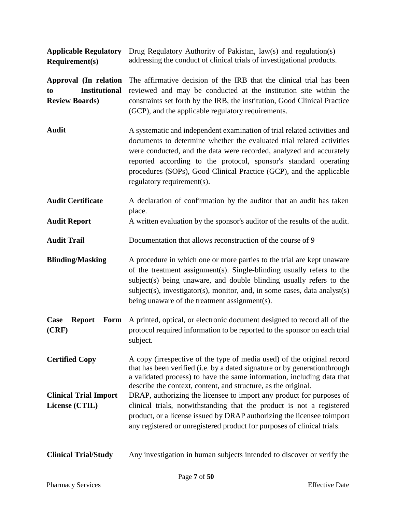**Applicable Regulatory Requirement(s)** Drug Regulatory Authority of Pakistan, law(s) and regulation(s) addressing the conduct of clinical trials of investigational products.

**Approval (In relation to Institutional Review Boards)** The affirmative decision of the IRB that the clinical trial has been reviewed and may be conducted at the institution site within the constraints set forth by the IRB, the institution, Good Clinical Practice (GCP), and the applicable regulatory requirements.

- **Audit** A systematic and independent examination of trial related activities and documents to determine whether the evaluated trial related activities were conducted, and the data were recorded, analyzed and accurately reported according to the protocol, sponsor's standard operating procedures (SOPs), Good Clinical Practice (GCP), and the applicable regulatory requirement(s).
- **Audit Certificate** A declaration of confirmation by the auditor that an audit has taken place.
- **Audit Report** A written evaluation by the sponsor's auditor of the results of the audit.
- **Audit Trail** Documentation that allows reconstruction of the course of 9

**Blinding/Masking** A procedure in which one or more parties to the trial are kept unaware of the treatment assignment(s). Single-blinding usually refers to the subject(s) being unaware, and double blinding usually refers to the  $subject(s)$ , investigator(s), monitor, and, in some cases, data analyst(s) being unaware of the treatment assignment(s).

**Case Report Form** A printed, optical, or electronic document designed to record all of the **(CRF)** protocol required information to be reported to the sponsor on each trial subject.

**Certified Copy** A copy (irrespective of the type of media used) of the original record that has been verified (i.e. by a dated signature or by generationthrough a validated process) to have the same information, including data that describe the context, content, and structure, as the original.

- **Clinical Trial Import License (CTIL)** DRAP, authorizing the licensee to import any product for purposes of clinical trials, notwithstanding that the product is not a registered product, or a license issued by DRAP authorizing the licensee toimport any registered or unregistered product for purposes of clinical trials.
- **Clinical Trial/Study** Any investigation in human subjects intended to discover or verify the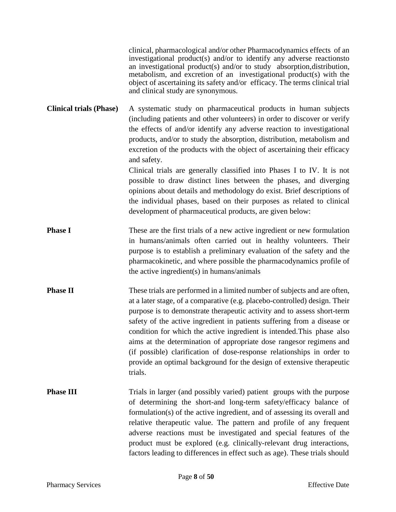clinical, pharmacological and/or other Pharmacodynamics effects of an investigational product(s) and/or to identify any adverse reactionsto an investigational product(s) and/or to study absorption,distribution, metabolism, and excretion of an investigational product(s) with the object of ascertaining its safety and/or efficacy. The terms clinical trial and clinical study are synonymous.

**Clinical trials (Phase)** A systematic study on pharmaceutical products in human subjects (including patients and other volunteers) in order to discover or verify the effects of and/or identify any adverse reaction to investigational products, and/or to study the absorption, distribution, metabolism and excretion of the products with the object of ascertaining their efficacy and safety.

> Clinical trials are generally classified into Phases I to IV. It is not possible to draw distinct lines between the phases, and diverging opinions about details and methodology do exist. Brief descriptions of the individual phases, based on their purposes as related to clinical development of pharmaceutical products, are given below:

- **Phase I** These are the first trials of a new active ingredient or new formulation in humans/animals often carried out in healthy volunteers. Their purpose is to establish a preliminary evaluation of the safety and the pharmacokinetic, and where possible the pharmacodynamics profile of the active ingredient(s) in humans/animals
- **Phase II** These trials are performed in a limited number of subjects and are often, at a later stage, of a comparative (e.g. placebo-controlled) design. Their purpose is to demonstrate therapeutic activity and to assess short-term safety of the active ingredient in patients suffering from a disease or condition for which the active ingredient is intended.This phase also aims at the determination of appropriate dose rangesor regimens and (if possible) clarification of dose-response relationships in order to provide an optimal background for the design of extensive therapeutic trials.
- **Phase III** Trials in larger (and possibly varied) patient groups with the purpose of determining the short-and long-term safety/efficacy balance of formulation(s) of the active ingredient, and of assessing its overall and relative therapeutic value. The pattern and profile of any frequent adverse reactions must be investigated and special features of the product must be explored (e.g. clinically-relevant drug interactions, factors leading to differences in effect such as age). These trials should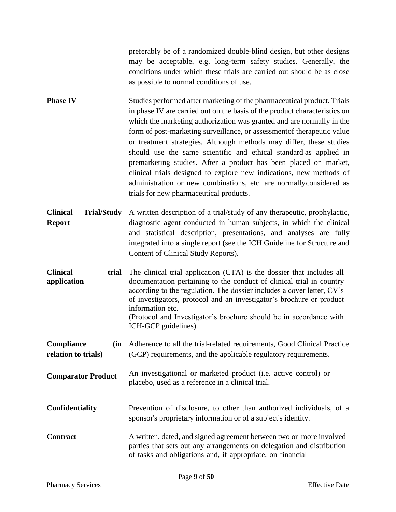preferably be of a randomized double-blind design, but other designs may be acceptable, e.g. long-term safety studies. Generally, the conditions under which these trials are carried out should be as close as possible to normal conditions of use.

- **Phase IV** Studies performed after marketing of the pharmaceutical product. Trials in phase IV are carried out on the basis of the product characteristics on which the marketing authorization was granted and are normally in the form of post-marketing surveillance, or assessmentof therapeutic value or treatment strategies. Although methods may differ, these studies should use the same scientific and ethical standard as applied in premarketing studies. After a product has been placed on market, clinical trials designed to explore new indications, new methods of administration or new combinations, etc. are normallyconsidered as trials for new pharmaceutical products.
- **Clinical Trial/Study Report** A written description of a trial/study of any therapeutic, prophylactic, diagnostic agent conducted in human subjects, in which the clinical and statistical description, presentations, and analyses are fully integrated into a single report (see the ICH Guideline for Structure and Content of Clinical Study Reports).
- **Clinical trial application** The clinical trial application (CTA) is the dossier that includes all documentation pertaining to the conduct of clinical trial in country according to the regulation. The dossier includes a cover letter, CV's of investigators, protocol and an investigator's brochure or product information etc. (Protocol and Investigator's brochure should be in accordance with ICH-GCP guidelines).
- **Compliance (in relation to trials)** Adherence to all the trial-related requirements, Good Clinical Practice (GCP) requirements, and the applicable regulatory requirements.
- **Comparator Product** An investigational or marketed product (i.e. active control) or placebo, used as a reference in a clinical trial.
- **Confidentiality** Prevention of disclosure, to other than authorized individuals, of a sponsor's proprietary information or of a subject's identity.
- **Contract** A written, dated, and signed agreement between two or more involved parties that sets out any arrangements on delegation and distribution of tasks and obligations and, if appropriate, on financial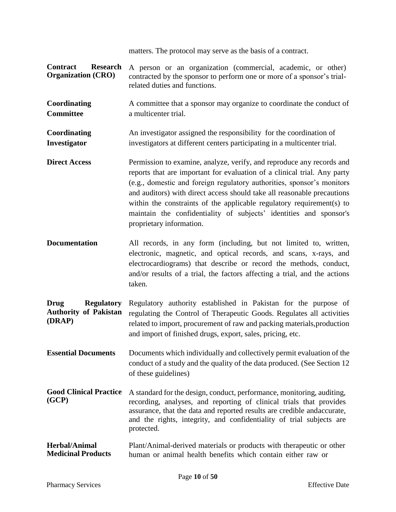matters. The protocol may serve as the basis of a contract.

**Contract Research Organization (CRO)** A person or an organization (commercial, academic, or other) contracted by the sponsor to perform one or more of a sponsor's trialrelated duties and functions.

**Coordinating Committee** A committee that a sponsor may organize to coordinate the conduct of a multicenter trial.

**Coordinating Investigator** An investigator assigned the responsibility for the coordination of investigators at different centers participating in a multicenter trial.

**Direct Access** Permission to examine, analyze, verify, and reproduce any records and reports that are important for evaluation of a clinical trial. Any party (e.g., domestic and foreign regulatory authorities, sponsor's monitors and auditors) with direct access should take all reasonable precautions within the constraints of the applicable regulatory requirement(s) to maintain the confidentiality of subjects' identities and sponsor's proprietary information.

**Documentation** All records, in any form (including, but not limited to, written, electronic, magnetic, and optical records, and scans, x-rays, and electrocardiograms) that describe or record the methods, conduct, and/or results of a trial, the factors affecting a trial, and the actions taken.

**Drug Regulatory Authority of Pakistan (DRAP)** Regulatory authority established in Pakistan for the purpose of regulating the Control of Therapeutic Goods. Regulates all activities related to import, procurement of raw and packing materials,production and import of finished drugs, export, sales, pricing, etc.

- **Essential Documents** Documents which individually and collectively permit evaluation of the conduct of a study and the quality of the data produced. (See Section 12 of these guidelines)
- **Good Clinical Practice (GCP)** A standard for the design, conduct, performance, monitoring, auditing, recording, analyses, and reporting of clinical trials that provides assurance, that the data and reported results are credible andaccurate, and the rights, integrity, and confidentiality of trial subjects are protected.
- **Herbal/Animal Medicinal Products** Plant/Animal-derived materials or products with therapeutic or other human or animal health benefits which contain either raw or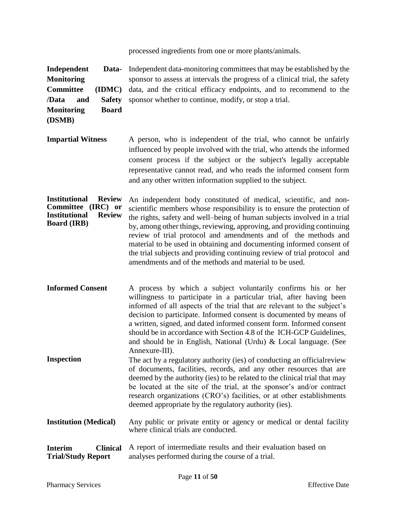processed ingredients from one or more plants/animals.

Independent **Monitoring Committee (IDMC) /Data and Safety Monitoring Board (DSMB) Data-** Independent data-monitoring committees that may be established by the sponsor to assess at intervals the progress of a clinical trial, the safety data, and the critical efficacy endpoints, and to recommend to the sponsor whether to continue, modify, or stop a trial.

- **Impartial Witness** A person, who is independent of the trial, who cannot be unfairly influenced by people involved with the trial, who attends the informed consent process if the subject or the subject's legally acceptable representative cannot read, and who reads the informed consent form and any other written information supplied to the subject.
- **Institutional Review Committee (IRC) or Institutional Review Board (IRB)** An independent body constituted of medical, scientific, and nonscientific members whose responsibility is to ensure the protection of the rights, safety and well–being of human subjects involved in a trial by, among other things, reviewing, approving, and providing continuing review of trial protocol and amendments and of the methods and material to be used in obtaining and documenting informed consent of the trial subjects and providing continuing review of trial protocol and amendments and of the methods and material to be used.
- **Informed Consent** A process by which a subject voluntarily confirms his or her willingness to participate in a particular trial, after having been informed of all aspects of the trial that are relevant to the subject's decision to participate. Informed consent is documented by means of a written, signed, and dated informed consent form. Informed consent should be in accordance with Section 4.8 of the ICH-GCP Guidelines, and should be in English, National (Urdu) & Local language. (See Annexure-III). **Inspection** The act by a regulatory authority (ies) of conducting an official review
- of documents, facilities, records, and any other resources that are deemed by the authority (ies) to be related to the clinical trial that may be located at the site of the trial, at the sponsor's and/or contract research organizations (CRO's) facilities, or at other establishments deemed appropriate by the regulatory authority (ies).
- **Institution** (**Medical**) Any public or private entity or agency or medical or dental facility where clinical trials are conducted.
- **Interim Clinical Trial/Study Report** A report of intermediate results and their evaluation based on analyses performed during the course of a trial.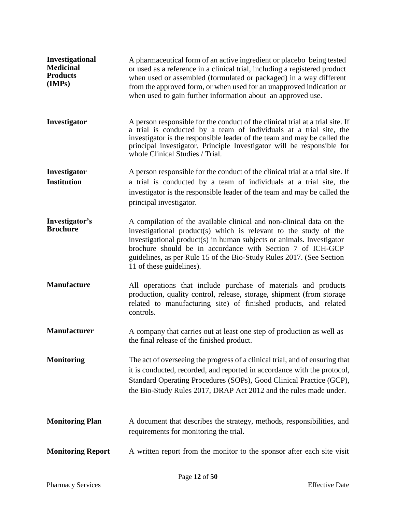| Investigational<br><b>Medicinal</b><br><b>Products</b><br>(IMPs) | A pharmaceutical form of an active ingredient or placebo being tested<br>or used as a reference in a clinical trial, including a registered product<br>when used or assembled (formulated or packaged) in a way different<br>from the approved form, or when used for an unapproved indication or<br>when used to gain further information about an approved use.                   |
|------------------------------------------------------------------|-------------------------------------------------------------------------------------------------------------------------------------------------------------------------------------------------------------------------------------------------------------------------------------------------------------------------------------------------------------------------------------|
| Investigator                                                     | A person responsible for the conduct of the clinical trial at a trial site. If<br>a trial is conducted by a team of individuals at a trial site, the<br>investigator is the responsible leader of the team and may be called the<br>principal investigator. Principle Investigator will be responsible for<br>whole Clinical Studies / Trial.                                       |
| Investigator<br><b>Institution</b>                               | A person responsible for the conduct of the clinical trial at a trial site. If<br>a trial is conducted by a team of individuals at a trial site, the<br>investigator is the responsible leader of the team and may be called the<br>principal investigator.                                                                                                                         |
| Investigator's<br><b>Brochure</b>                                | A compilation of the available clinical and non-clinical data on the<br>investigational product(s) which is relevant to the study of the<br>investigational product(s) in human subjects or animals. Investigator<br>brochure should be in accordance with Section 7 of ICH-GCP<br>guidelines, as per Rule 15 of the Bio-Study Rules 2017. (See Section<br>11 of these guidelines). |
| <b>Manufacture</b>                                               | All operations that include purchase of materials and products<br>production, quality control, release, storage, shipment (from storage<br>related to manufacturing site) of finished products, and related<br>controls.                                                                                                                                                            |
| <b>Manufacturer</b>                                              | A company that carries out at least one step of production as well as<br>the final release of the finished product.                                                                                                                                                                                                                                                                 |
| <b>Monitoring</b>                                                | The act of overseeing the progress of a clinical trial, and of ensuring that<br>it is conducted, recorded, and reported in accordance with the protocol,<br>Standard Operating Procedures (SOPs), Good Clinical Practice (GCP),<br>the Bio-Study Rules 2017, DRAP Act 2012 and the rules made under.                                                                                |
| <b>Monitoring Plan</b>                                           | A document that describes the strategy, methods, responsibilities, and<br>requirements for monitoring the trial.                                                                                                                                                                                                                                                                    |
| <b>Monitoring Report</b>                                         | A written report from the monitor to the sponsor after each site visit                                                                                                                                                                                                                                                                                                              |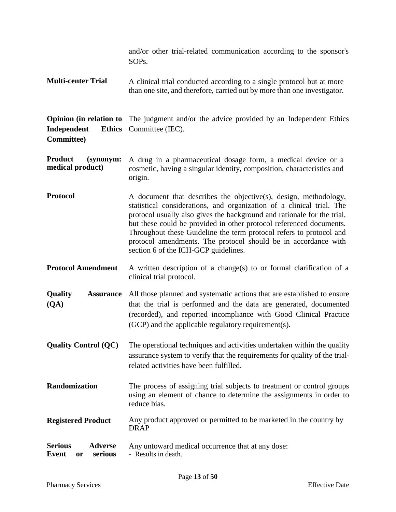|                                                                              | and/or other trial-related communication according to the sponsor's<br>SOP <sub>s</sub> .                                                                                                                                                                                                                                                                                                                                                                                    |  |  |
|------------------------------------------------------------------------------|------------------------------------------------------------------------------------------------------------------------------------------------------------------------------------------------------------------------------------------------------------------------------------------------------------------------------------------------------------------------------------------------------------------------------------------------------------------------------|--|--|
| <b>Multi-center Trial</b>                                                    | A clinical trial conducted according to a single protocol but at more<br>than one site, and therefore, carried out by more than one investigator.                                                                                                                                                                                                                                                                                                                            |  |  |
| <b>Opinion</b> (in relation to<br>Independent<br><b>Ethics</b><br>Committee) | The judgment and/or the advice provided by an Independent Ethics<br>Committee (IEC).                                                                                                                                                                                                                                                                                                                                                                                         |  |  |
| <b>Product</b><br>(synonym:<br>medical product)                              | A drug in a pharmaceutical dosage form, a medical device or a<br>cosmetic, having a singular identity, composition, characteristics and<br>origin.                                                                                                                                                                                                                                                                                                                           |  |  |
| <b>Protocol</b>                                                              | A document that describes the objective(s), design, methodology,<br>statistical considerations, and organization of a clinical trial. The<br>protocol usually also gives the background and rationale for the trial,<br>but these could be provided in other protocol referenced documents.<br>Throughout these Guideline the term protocol refers to protocol and<br>protocol amendments. The protocol should be in accordance with<br>section 6 of the ICH-GCP guidelines. |  |  |
| <b>Protocol Amendment</b>                                                    | A written description of a change(s) to or formal clarification of a<br>clinical trial protocol.                                                                                                                                                                                                                                                                                                                                                                             |  |  |
| <b>Quality</b><br><b>Assurance</b><br>(QA)                                   | All those planned and systematic actions that are established to ensure<br>that the trial is performed and the data are generated, documented<br>(recorded), and reported incompliance with Good Clinical Practice<br>(GCP) and the applicable regulatory requirement(s).                                                                                                                                                                                                    |  |  |
| <b>Quality Control (QC)</b>                                                  | The operational techniques and activities undertaken within the quality<br>assurance system to verify that the requirements for quality of the trial-<br>related activities have been fulfilled.                                                                                                                                                                                                                                                                             |  |  |
| <b>Randomization</b>                                                         | The process of assigning trial subjects to treatment or control groups<br>using an element of chance to determine the assignments in order to<br>reduce bias.                                                                                                                                                                                                                                                                                                                |  |  |
| <b>Registered Product</b>                                                    | Any product approved or permitted to be marketed in the country by<br><b>DRAP</b>                                                                                                                                                                                                                                                                                                                                                                                            |  |  |
| <b>Adverse</b><br><b>Serious</b><br>Event<br>serious<br><b>or</b>            | Any untoward medical occurrence that at any dose:<br>- Results in death.                                                                                                                                                                                                                                                                                                                                                                                                     |  |  |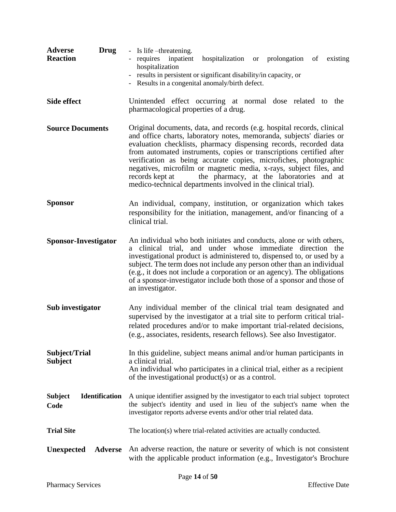| <b>Adverse</b><br><b>Drug</b><br><b>Reaction</b> | - Is life -threatening.<br>inpatient<br>requires<br>hospitalization<br>or prolongation<br>existing<br>of<br>hospitalization<br>results in persistent or significant disability/in capacity, or<br>$\overline{\phantom{a}}$<br>- Results in a congenital anomaly/birth defect.                                                                                                                                                                                                                                                                                         |  |  |  |
|--------------------------------------------------|-----------------------------------------------------------------------------------------------------------------------------------------------------------------------------------------------------------------------------------------------------------------------------------------------------------------------------------------------------------------------------------------------------------------------------------------------------------------------------------------------------------------------------------------------------------------------|--|--|--|
| Side effect                                      | Unintended effect occurring at normal dose related to<br>the<br>pharmacological properties of a drug.                                                                                                                                                                                                                                                                                                                                                                                                                                                                 |  |  |  |
| <b>Source Documents</b>                          | Original documents, data, and records (e.g. hospital records, clinical<br>and office charts, laboratory notes, memoranda, subjects' diaries or<br>evaluation checklists, pharmacy dispensing records, recorded data<br>from automated instruments, copies or transcriptions certified after<br>verification as being accurate copies, microfiches, photographic<br>negatives, microfilm or magnetic media, x-rays, subject files, and<br>the pharmacy, at the laboratories and at<br>records kept at<br>medico-technical departments involved in the clinical trial). |  |  |  |
| <b>Sponsor</b>                                   | An individual, company, institution, or organization which takes<br>responsibility for the initiation, management, and/or financing of a<br>clinical trial.                                                                                                                                                                                                                                                                                                                                                                                                           |  |  |  |
| <b>Sponsor-Investigator</b>                      | An individual who both initiates and conducts, alone or with others,<br>clinical trial, and under whose immediate direction the<br>a<br>investigational product is administered to, dispensed to, or used by a<br>subject. The term does not include any person other than an individual<br>(e.g., it does not include a corporation or an agency). The obligations<br>of a sponsor-investigator include both those of a sponsor and those of<br>an investigator.                                                                                                     |  |  |  |
| Sub investigator                                 | Any individual member of the clinical trial team designated and<br>supervised by the investigator at a trial site to perform critical trial-<br>related procedures and/or to make important trial-related decisions,<br>(e.g., associates, residents, research fellows). See also Investigator.                                                                                                                                                                                                                                                                       |  |  |  |
| Subject/Trial<br><b>Subject</b>                  | In this guideline, subject means animal and/or human participants in<br>a clinical trial.<br>An individual who participates in a clinical trial, either as a recipient<br>of the investigational product(s) or as a control.                                                                                                                                                                                                                                                                                                                                          |  |  |  |
| <b>Identification</b><br><b>Subject</b><br>Code  | A unique identifier assigned by the investigator to each trial subject toprotect<br>the subject's identity and used in lieu of the subject's name when the<br>investigator reports adverse events and/or other trial related data.                                                                                                                                                                                                                                                                                                                                    |  |  |  |
| <b>Trial Site</b>                                | The location(s) where trial-related activities are actually conducted.                                                                                                                                                                                                                                                                                                                                                                                                                                                                                                |  |  |  |
| <b>Adverse</b><br><b>Unexpected</b>              | An adverse reaction, the nature or severity of which is not consistent<br>with the applicable product information (e.g., Investigator's Brochure                                                                                                                                                                                                                                                                                                                                                                                                                      |  |  |  |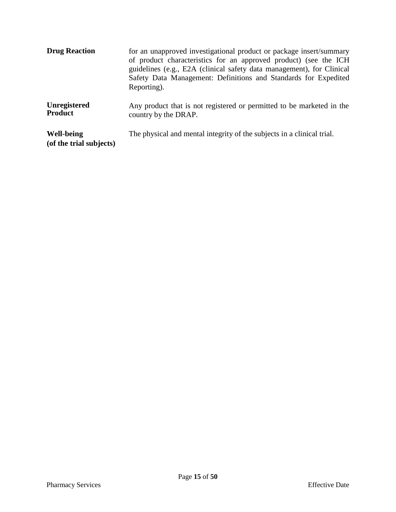| <b>Drug Reaction</b>                         | for an unapproved investigational product or package insert/summary<br>of product characteristics for an approved product) (see the ICH<br>guidelines (e.g., E2A (clinical safety data management), for Clinical<br>Safety Data Management: Definitions and Standards for Expedited<br>Reporting). |
|----------------------------------------------|----------------------------------------------------------------------------------------------------------------------------------------------------------------------------------------------------------------------------------------------------------------------------------------------------|
| Unregistered<br><b>Product</b>               | Any product that is not registered or permitted to be marketed in the<br>country by the DRAP.                                                                                                                                                                                                      |
| <b>Well-being</b><br>(of the trial subjects) | The physical and mental integrity of the subjects in a clinical trial.                                                                                                                                                                                                                             |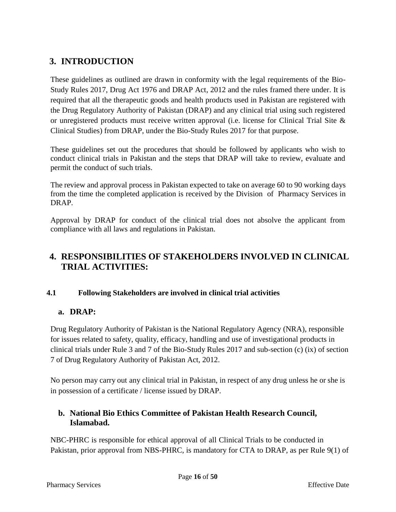# <span id="page-15-0"></span>**3. INTRODUCTION**

These guidelines as outlined are drawn in conformity with the legal requirements of the Bio-Study Rules 2017, Drug Act 1976 and DRAP Act, 2012 and the rules framed there under. It is required that all the therapeutic goods and health products used in Pakistan are registered with the Drug Regulatory Authority of Pakistan (DRAP) and any clinical trial using such registered or unregistered products must receive written approval (i.e. license for Clinical Trial Site & Clinical Studies) from DRAP, under the Bio-Study Rules 2017 for that purpose.

These guidelines set out the procedures that should be followed by applicants who wish to conduct clinical trials in Pakistan and the steps that DRAP will take to review, evaluate and permit the conduct of such trials.

The review and approval process in Pakistan expected to take on average 60 to 90 working days from the time the completed application is received by the Division of Pharmacy Services in DRAP.

Approval by DRAP for conduct of the clinical trial does not absolve the applicant from compliance with all laws and regulations in Pakistan.

# <span id="page-15-1"></span>**4. RESPONSIBILITIES OF STAKEHOLDERS INVOLVED IN CLINICAL TRIAL ACTIVITIES:**

## <span id="page-15-2"></span>**4.1 Following Stakeholders are involved in clinical trial activities**

#### **a. DRAP:**

Drug Regulatory Authority of Pakistan is the National Regulatory Agency (NRA), responsible for issues related to safety, quality, efficacy, handling and use of investigational products in clinical trials under Rule 3 and 7 of the Bio-Study Rules 2017 and sub-section (c) (ix) of section 7 of Drug Regulatory Authority of Pakistan Act, 2012.

No person may carry out any clinical trial in Pakistan, in respect of any drug unless he or she is in possession of a certificate / license issued by DRAP.

# <span id="page-15-3"></span>**b. National Bio Ethics Committee of Pakistan Health Research Council, Islamabad.**

NBC-PHRC is responsible for ethical approval of all Clinical Trials to be conducted in Pakistan, prior approval from NBS-PHRC, is mandatory for CTA to DRAP, as per Rule 9(1) of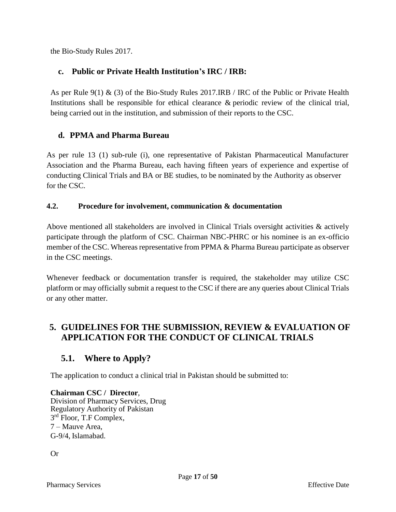the Bio-Study Rules 2017.

## <span id="page-16-0"></span>**c. Public or Private Health Institution's IRC / IRB:**

As per Rule 9(1) & (3) of the Bio-Study Rules 2017.IRB / IRC of the Public or Private Health Institutions shall be responsible for ethical clearance & periodic review of the clinical trial, being carried out in the institution, and submission of their reports to the CSC.

## **d. PPMA and Pharma Bureau**

<span id="page-16-1"></span>As per rule 13 (1) sub-rule (i), one representative of Pakistan Pharmaceutical Manufacturer Association and the Pharma Bureau, each having fifteen years of experience and expertise of conducting Clinical Trials and BA or BE studies, to be nominated by the Authority as observer for the CSC.

#### **4.2. Procedure for involvement, communication & documentation**

Above mentioned all stakeholders are involved in Clinical Trials oversight activities & actively participate through the platform of CSC. Chairman NBC-PHRC or his nominee is an ex-officio member of the CSC. Whereas representative from PPMA & Pharma Bureau participate as observer in the CSC meetings.

Whenever feedback or documentation transfer is required, the stakeholder may utilize CSC platform or may officially submit a request to the CSC if there are any queries about Clinical Trials or any other matter.

# <span id="page-16-2"></span>**5. [GUIDELINES FOR THE SUBMISSION, REVIEW & EVALUATION OF](#page-16-2)  [APPLICATION FOR THE CONDUCT OF CLINICAL TRIALS](#page-16-2)**

# **5.1. Where to Apply?**

<span id="page-16-3"></span>The application to conduct a clinical trial in Pakistan should be submitted to:

**Chairman CSC / Director**, Division of Pharmacy Services, Drug Regulatory Authority of Pakistan 3<sup>rd</sup> Floor, T.F Complex, 7 – Mauve Area, G-9/4, Islamabad.

Or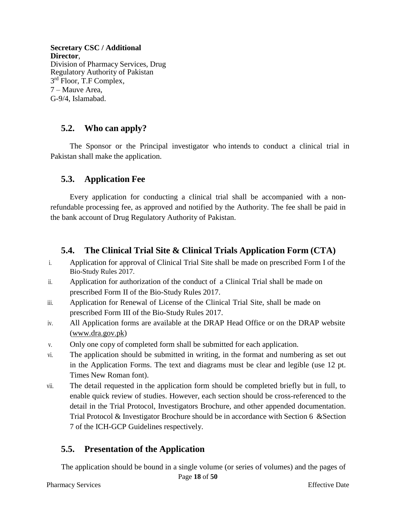**Secretary CSC / Additional Director**, Division of Pharmacy Services, Drug Regulatory Authority of Pakistan 3<sup>rd</sup> Floor, T.F Complex, 7 – Mauve Area, G-9/4, Islamabad.

# **5.2. Who can apply?**

<span id="page-17-0"></span>The Sponsor or the Principal investigator who intends to conduct a clinical trial in Pakistan shall make the application.

# **5.3. Application Fee**

<span id="page-17-1"></span>Every application for conducting a clinical trial shall be accompanied with a nonrefundable processing fee, as approved and notified by the Authority. The fee shall be paid in the bank account of Drug Regulatory Authority of Pakistan.

# **5.4. The Clinical Trial Site & Clinical Trials Application Form (CTA)**

- <span id="page-17-2"></span>i. Application for approval of Clinical Trial Site shall be made on prescribed Form I of the Bio-Study Rules 2017.
- ii. Application for authorization of the conduct of a Clinical Trial shall be made on prescribed Form II of the Bio-Study Rules 2017.
- iii. Application for Renewal of License of the Clinical Trial Site, shall be made on prescribed Form III of the Bio-Study Rules 2017.
- iv. All Application forms are available at the DRAP Head Office or on the DRAP website (www.dra.gov.pk)
- v. Only one copy of completed form shall be submitted for each application.
- vi. The application should be submitted in writing, in the format and numbering as set out in the Application Forms. The text and diagrams must be clear and legible (use 12 pt. Times New Roman font).
- vii. The detail requested in the application form should be completed briefly but in full, to enable quick review of studies. However, each section should be cross-referenced to the detail in the Trial Protocol, Investigators Brochure, and other appended documentation. Trial Protocol & Investigator Brochure should be in accordance with Section 6 &Section 7 of the ICH-GCP Guidelines respectively.

# <span id="page-17-3"></span>**5.5. Presentation of the Application**

The application should be bound in a single volume (or series of volumes) and the pages of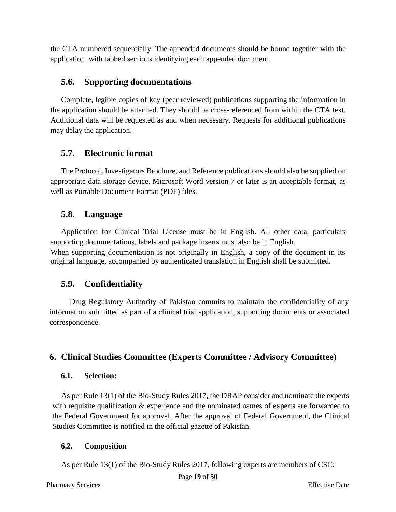the CTA numbered sequentially. The appended documents should be bound together with the application, with tabbed sections identifying each appended document.

### **5.6. Supporting documentations**

<span id="page-18-0"></span>Complete, legible copies of key (peer reviewed) publications supporting the information in the application should be attached. They should be cross-referenced from within the CTA text. Additional data will be requested as and when necessary. Requests for additional publications may delay the application.

#### **5.7. Electronic format**

<span id="page-18-1"></span>The Protocol, Investigators Brochure, and Reference publications should also be supplied on appropriate data storage device. Microsoft Word version 7 or later is an acceptable format, as well as Portable Document Format (PDF) files.

## **5.8. Language**

<span id="page-18-2"></span>Application for Clinical Trial License must be in English. All other data, particulars supporting documentations, labels and package inserts must also be in English.

When supporting documentation is not originally in English, a copy of the document in its original language, accompanied by authenticated translation in English shall be submitted.

## **5.9. Confidentiality**

<span id="page-18-3"></span>Drug Regulatory Authority of Pakistan commits to maintain the confidentiality of any information submitted as part of a clinical trial application, supporting documents or associated correspondence.

# <span id="page-18-4"></span>**6. Clinical Studies Committee (Experts Committee / Advisory Committee)**

#### **6.1. Selection:**

As per Rule 13(1) of the Bio-Study Rules 2017, the DRAP consider and nominate the experts with requisite qualification & experience and the nominated names of experts are forwarded to the Federal Government for approval. After the approval of Federal Government, the Clinical Studies Committee is notified in the official gazette of Pakistan.

#### **6.2. Composition**

As per Rule 13(1) of the Bio-Study Rules 2017, following experts are members of CSC: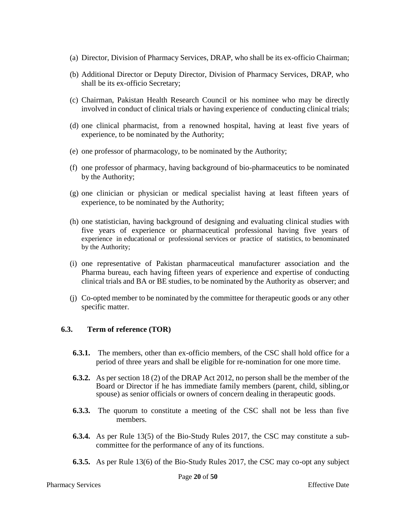- (a) Director, Division of Pharmacy Services, DRAP, who shall be its ex-officio Chairman;
- (b) Additional Director or Deputy Director, Division of Pharmacy Services, DRAP, who shall be its ex-officio Secretary;
- (c) Chairman, Pakistan Health Research Council or his nominee who may be directly involved in conduct of clinical trials or having experience of conducting clinical trials;
- (d) one clinical pharmacist, from a renowned hospital, having at least five years of experience, to be nominated by the Authority;
- (e) one professor of pharmacology, to be nominated by the Authority;
- (f) one professor of pharmacy, having background of bio-pharmaceutics to be nominated by the Authority;
- (g) one clinician or physician or medical specialist having at least fifteen years of experience, to be nominated by the Authority;
- (h) one statistician, having background of designing and evaluating clinical studies with five years of experience or pharmaceutical professional having five years of experience in educational or professional services or practice of statistics, to benominated by the Authority;
- (i) one representative of Pakistan pharmaceutical manufacturer association and the Pharma bureau, each having fifteen years of experience and expertise of conducting clinical trials and BA or BE studies, to be nominated by the Authority as observer; and
- (j) Co-opted member to be nominated by the committee for therapeutic goods or any other specific matter.

#### **6.3. Term of reference (TOR)**

- **6.3.1.** The members, other than ex-officio members, of the CSC shall hold office for a period of three years and shall be eligible for re-nomination for one more time.
- **6.3.2.** As per section 18 (2) of the DRAP Act 2012, no person shall be the member of the Board or Director if he has immediate family members (parent, child, sibling,or spouse) as senior officials or owners of concern dealing in therapeutic goods.
- **6.3.3.** The quorum to constitute a meeting of the CSC shall not be less than five members.
- **6.3.4.** As per Rule 13(5) of the Bio-Study Rules 2017, the CSC may constitute a subcommittee for the performance of any of its functions.
- **6.3.5.** As per Rule 13(6) of the Bio-Study Rules 2017, the CSC may co-opt any subject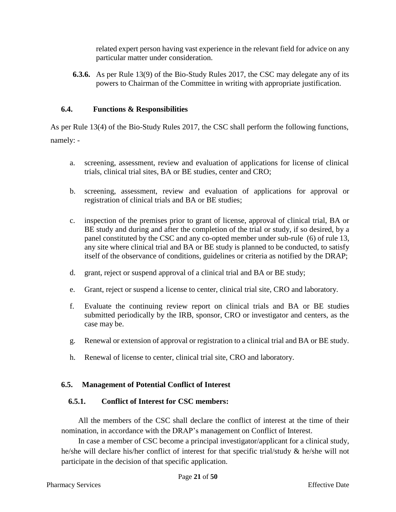related expert person having vast experience in the relevant field for advice on any particular matter under consideration.

**6.3.6.** As per Rule 13(9) of the Bio-Study Rules 2017, the CSC may delegate any of its powers to Chairman of the Committee in writing with appropriate justification.

#### **6.4. Functions & Responsibilities**

As per Rule 13(4) of the Bio-Study Rules 2017, the CSC shall perform the following functions, namely: -

- a. screening, assessment, review and evaluation of applications for license of clinical trials, clinical trial sites, BA or BE studies, center and CRO;
- b. screening, assessment, review and evaluation of applications for approval or registration of clinical trials and BA or BE studies;
- c. inspection of the premises prior to grant of license, approval of clinical trial, BA or BE study and during and after the completion of the trial or study, if so desired, by a panel constituted by the CSC and any co-opted member under sub-rule (6) of rule 13, any site where clinical trial and BA or BE study is planned to be conducted, to satisfy itself of the observance of conditions, guidelines or criteria as notified by the DRAP;
- d. grant, reject or suspend approval of a clinical trial and BA or BE study;
- e. Grant, reject or suspend a license to center, clinical trial site, CRO and laboratory.
- f. Evaluate the continuing review report on clinical trials and BA or BE studies submitted periodically by the IRB, sponsor, CRO or investigator and centers, as the case may be.
- g. Renewal or extension of approval or registration to a clinical trial and BA or BE study.
- h. Renewal of license to center, clinical trial site, CRO and laboratory.

#### **6.5. Management of Potential Conflict of Interest**

#### **6.5.1. Conflict of Interest for CSC members:**

All the members of the CSC shall declare the conflict of interest at the time of their nomination, in accordance with the DRAP's management on Conflict of Interest.

In case a member of CSC become a principal investigator/applicant for a clinical study, he/she will declare his/her conflict of interest for that specific trial/study & he/she will not participate in the decision of that specific application.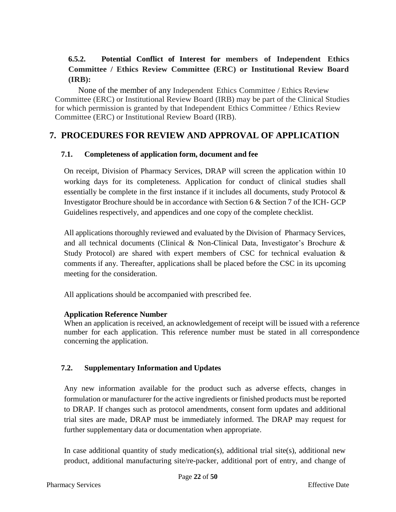# **6.5.2. Potential Conflict of Interest for members of Independent Ethics Committee / Ethics Review Committee (ERC) or Institutional Review Board (IRB):**

None of the member of any Independent Ethics Committee / Ethics Review Committee (ERC) or Institutional Review Board (IRB) may be part of the Clinical Studies for which permission is granted by that Independent Ethics Committee / Ethics Review Committee (ERC) or Institutional Review Board (IRB).

# <span id="page-21-0"></span>**7. PROCEDURES FOR REVIEW AND APPROVAL OF APPLICATION**

#### **7.1. Completeness of application form, document and fee**

On receipt, Division of Pharmacy Services, DRAP will screen the application within 10 working days for its completeness. Application for conduct of clinical studies shall essentially be complete in the first instance if it includes all documents, study Protocol & Investigator Brochure should be in accordance with Section 6 & Section 7 of the ICH- GCP Guidelines respectively, and appendices and one copy of the complete checklist.

All applications thoroughly reviewed and evaluated by the Division of Pharmacy Services, and all technical documents (Clinical & Non-Clinical Data, Investigator's Brochure & Study Protocol) are shared with expert members of CSC for technical evaluation  $\&$ comments if any. Thereafter, applications shall be placed before the CSC in its upcoming meeting for the consideration.

All applications should be accompanied with prescribed fee.

## **Application Reference Number**

When an application is received, an acknowledgement of receipt will be issued with a reference number for each application. This reference number must be stated in all correspondence concerning the application.

## **7.2. Supplementary Information and Updates**

Any new information available for the product such as adverse effects, changes in formulation or manufacturer for the active ingredients or finished products must be reported to DRAP. If changes such as protocol amendments, consent form updates and additional trial sites are made, DRAP must be immediately informed. The DRAP may request for further supplementary data or documentation when appropriate.

In case additional quantity of study medication(s), additional trial site(s), additional new product, additional manufacturing site/re-packer, additional port of entry, and change of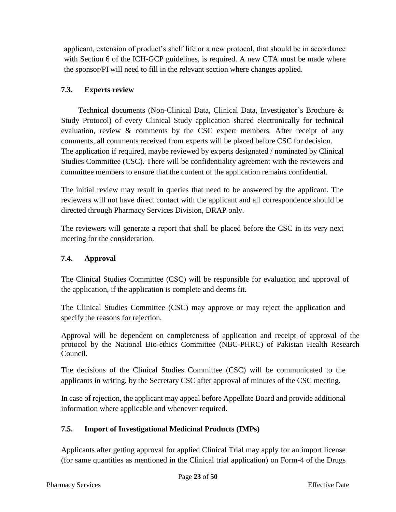applicant, extension of product's shelf life or a new protocol, that should be in accordance with Section 6 of the ICH-GCP guidelines, is required. A new CTA must be made where the sponsor/PI will need to fill in the relevant section where changes applied.

## **7.3. Experts review**

Technical documents (Non-Clinical Data, Clinical Data, Investigator's Brochure & Study Protocol) of every Clinical Study application shared electronically for technical evaluation, review  $\&$  comments by the CSC expert members. After receipt of any comments, all comments received from experts will be placed before CSC for decision. The application if required, maybe reviewed by experts designated / nominated by Clinical Studies Committee (CSC). There will be confidentiality agreement with the reviewers and committee members to ensure that the content of the application remains confidential.

The initial review may result in queries that need to be answered by the applicant. The reviewers will not have direct contact with the applicant and all correspondence should be directed through Pharmacy Services Division, DRAP only.

The reviewers will generate a report that shall be placed before the CSC in its very next meeting for the consideration.

### **7.4. Approval**

The Clinical Studies Committee (CSC) will be responsible for evaluation and approval of the application, if the application is complete and deems fit.

The Clinical Studies Committee (CSC) may approve or may reject the application and specify the reasons for rejection.

Approval will be dependent on completeness of application and receipt of approval of the protocol by the National Bio-ethics Committee (NBC-PHRC) of Pakistan Health Research Council.

The decisions of the Clinical Studies Committee (CSC) will be communicated to the applicants in writing, by the Secretary CSC after approval of minutes of the CSC meeting.

In case of rejection, the applicant may appeal before Appellate Board and provide additional information where applicable and whenever required.

## **7.5. Import of Investigational Medicinal Products (IMPs)**

Applicants after getting approval for applied Clinical Trial may apply for an import license (for same quantities as mentioned in the Clinical trial application) on Form-4 of the Drugs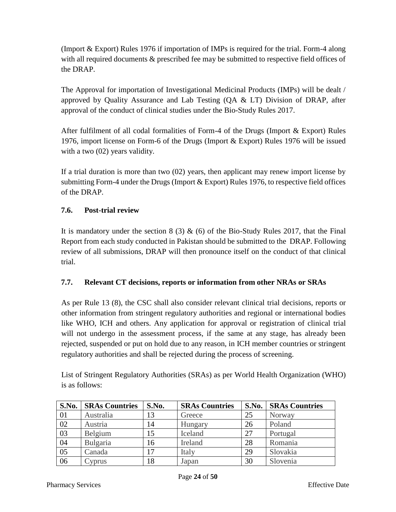(Import & Export) Rules 1976 if importation of IMPs is required for the trial. Form-4 along with all required documents & prescribed fee may be submitted to respective field offices of the DRAP.

The Approval for importation of Investigational Medicinal Products (IMPs) will be dealt / approved by Quality Assurance and Lab Testing (QA & LT) Division of DRAP, after approval of the conduct of clinical studies under the Bio-Study Rules 2017.

After fulfilment of all codal formalities of Form-4 of the Drugs (Import & Export) Rules 1976, import license on Form-6 of the Drugs (Import & Export) Rules 1976 will be issued with a two  $(02)$  years validity.

If a trial duration is more than two (02) years, then applicant may renew import license by submitting Form-4 under the Drugs (Import & Export) Rules 1976, to respective field offices of the DRAP.

## **7.6. Post-trial review**

It is mandatory under the section  $8(3)$  &  $(6)$  of the Bio-Study Rules 2017, that the Final Report from each study conducted in Pakistan should be submitted to the DRAP. Following review of all submissions, DRAP will then pronounce itself on the conduct of that clinical trial.

#### **7.7. Relevant CT decisions, reports or information from other NRAs or SRAs**

As per Rule 13 (8), the CSC shall also consider relevant clinical trial decisions, reports or other information from stringent regulatory authorities and regional or international bodies like WHO, ICH and others. Any application for approval or registration of clinical trial will not undergo in the assessment process, if the same at any stage, has already been rejected, suspended or put on hold due to any reason, in ICH member countries or stringent regulatory authorities and shall be rejected during the process of screening.

List of Stringent Regulatory Authorities (SRAs) as per World Health Organization (WHO) is as follows:

| S.No.           | <b>SRAs Countries</b> | S.No. | <b>SRAs Countries</b> |    | <b>S.No.   SRAs Countries</b> |
|-----------------|-----------------------|-------|-----------------------|----|-------------------------------|
| 01              | Australia             | 13    | Greece                | 25 | Norway                        |
| 02              | Austria               | 14    | Hungary               | 26 | Poland                        |
| 03              | Belgium               | 15    | Iceland               | 27 | Portugal                      |
| 04              | Bulgaria              | 16    | Ireland               | 28 | Romania                       |
| $\overline{05}$ | Canada                | 17    | Italy                 | 29 | Slovakia                      |
| 06              | Cyprus                | 18    | Japan                 | 30 | Slovenia                      |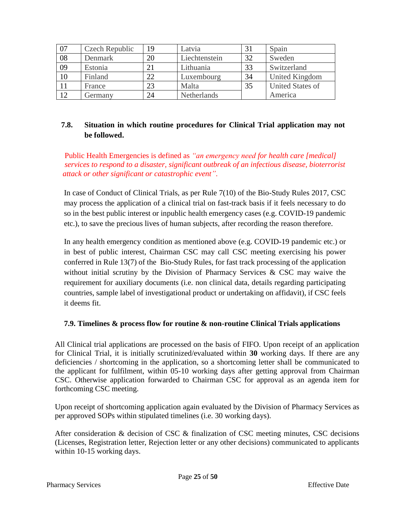| 07 | Czech Republic | 19 | Latvia             |    | Spain                   |  |
|----|----------------|----|--------------------|----|-------------------------|--|
| 08 | Denmark        | 20 | Liechtenstein      | 32 | Sweden                  |  |
| 09 | Estonia        |    | Lithuania          | 33 | Switzerland             |  |
| 10 | Finland        | 22 | Luxembourg         | 34 | <b>United Kingdom</b>   |  |
|    | France         | 23 | Malta              | 35 | <b>United States of</b> |  |
| 12 | Germany        | 24 | <b>Netherlands</b> |    | America                 |  |

## **7.8. Situation in which routine procedures for Clinical Trial application may not be followed.**

 Public Health Emergencies is defined as *"an emergency need for health care [medical] services to respond to a disaster, significant outbreak of an infectious disease, bioterrorist attack or other significant or catastrophic event"*.

In case of Conduct of Clinical Trials, as per Rule 7(10) of the Bio-Study Rules 2017, CSC may process the application of a clinical trial on fast-track basis if it feels necessary to do so in the best public interest or inpublic health emergency cases (e.g. COVID-19 pandemic etc.), to save the precious lives of human subjects, after recording the reason therefore.

In any health emergency condition as mentioned above (e.g. COVID-19 pandemic etc.) or in best of public interest, Chairman CSC may call CSC meeting exercising his power conferred in Rule 13(7) of the Bio-Study Rules, for fast track processing of the application without initial scrutiny by the Division of Pharmacy Services & CSC may waive the requirement for auxiliary documents (i.e. non clinical data, details regarding participating countries, sample label of investigational product or undertaking on affidavit), if CSC feels it deems fit.

#### <span id="page-24-0"></span>**7.9. Timelines & process flow for routine & non-routine Clinical Trials applications**

All Clinical trial applications are processed on the basis of FIFO. Upon receipt of an application for Clinical Trial, it is initially scrutinized/evaluated within **30** working days. If there are any deficiencies / shortcoming in the application, so a shortcoming letter shall be communicated to the applicant for fulfilment, within 05-10 working days after getting approval from Chairman CSC. Otherwise application forwarded to Chairman CSC for approval as an agenda item for forthcoming CSC meeting.

Upon receipt of shortcoming application again evaluated by the Division of Pharmacy Services as per approved SOPs within stipulated timelines (i.e. 30 working days).

After consideration & decision of CSC & finalization of CSC meeting minutes, CSC decisions (Licenses, Registration letter, Rejection letter or any other decisions) communicated to applicants within 10-15 working days.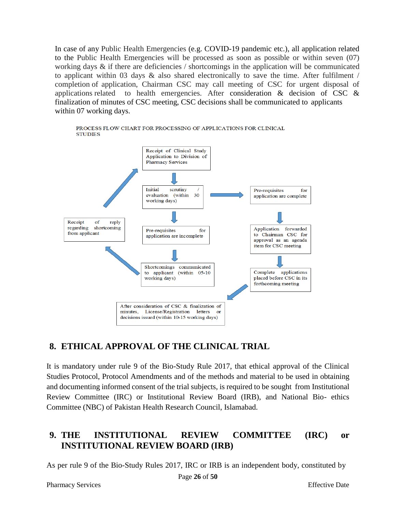In case of any Public Health Emergencies (e.g. COVID-19 pandemic etc.), all application related to the Public Health Emergencies will be processed as soon as possible or within seven (07) working days  $\&$  if there are deficiencies / shortcomings in the application will be communicated to applicant within 03 days  $\&$  also shared electronically to save the time. After fulfilment / completion of application, Chairman CSC may call meeting of CSC for urgent disposal of applications related to health emergencies. After consideration  $\&$  decision of CSC  $\&$ finalization of minutes of CSC meeting, CSC decisions shall be communicated to applicants within 07 working days.



# **8. ETHICAL APPROVAL OF THE CLINICAL TRIAL**

It is mandatory under rule 9 of the Bio-Study Rule 2017, that ethical approval of the Clinical Studies Protocol, Protocol Amendments and of the methods and material to be used in obtaining and documenting informed consent of the trial subjects, is required to be sought from Institutional Review Committee (IRC) or Institutional Review Board (IRB), and National Bio- ethics Committee (NBC) of Pakistan Health Research Council, Islamabad.

# <span id="page-25-0"></span>**9. THE INSTITUTIONAL REVIEW COMMITTEE (IRC) or INSTITUTIONAL REVIEW BOARD (IRB)**

As per rule 9 of the Bio-Study Rules 2017, IRC or IRB is an independent body, constituted by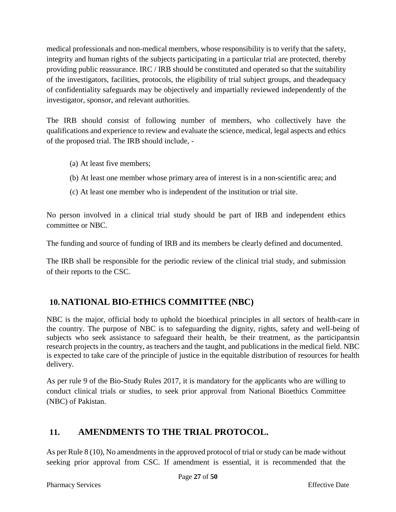medical professionals and non-medical members, whose responsibility is to verify that the safety, integrity and human rights of the subjects participating in a particular trial are protected, thereby providing public reassurance. IRC / IRB should be constituted and operated so that the suitability of the investigators, facilities, protocols, the eligibility of trial subject groups, and theadequacy of confidentiality safeguards may be objectively and impartially reviewed independently of the investigator, sponsor, and relevant authorities.

The IRB should consist of following number of members, who collectively have the qualifications and experience to review and evaluate the science, medical, legal aspects and ethics of the proposed trial. The IRB should include, -

- (a) At least five members;
- (b) At least one member whose primary area of interest is in a non-scientific area; and
- (c) At least one member who is independent of the institution or trial site.

No person involved in a clinical trial study should be part of IRB and independent ethics committee or NBC.

The funding and source of funding of IRB and its members be clearly defined and documented.

The IRB shall be responsible for the periodic review of the clinical trial study, and submission of their reports to the CSC.

# <span id="page-26-0"></span>**10.NATIONAL BIO-ETHICS COMMITTEE (NBC)**

NBC is the major, official body to uphold the bioethical principles in all sectors of health-care in the country. The purpose of NBC is to safeguarding the dignity, rights, safety and well-being of subjects who seek assistance to safeguard their health, be their treatment, as the participantsin research projects in the country, as teachers and the taught, and publications in the medical field. NBC is expected to take care of the principle of justice in the equitable distribution of resources for health delivery.

As per rule 9 of the Bio-Study Rules 2017, it is mandatory for the applicants who are willing to conduct clinical trials or studies, to seek prior approval from National Bioethics Committee (NBC) of Pakistan.

# <span id="page-26-1"></span>**11. AMENDMENTS TO THE TRIAL PROTOCOL.**

As per Rule 8 (10), No amendments in the approved protocol of trial or study can be made without seeking prior approval from CSC. If amendment is essential, it is recommended that the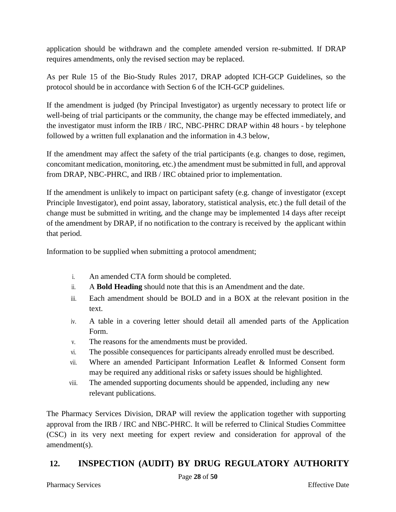application should be withdrawn and the complete amended version re-submitted. If DRAP requires amendments, only the revised section may be replaced.

As per Rule 15 of the Bio-Study Rules 2017, DRAP adopted ICH-GCP Guidelines, so the protocol should be in accordance with Section 6 of the ICH-GCP guidelines.

If the amendment is judged (by Principal Investigator) as urgently necessary to protect life or well-being of trial participants or the community, the change may be effected immediately, and the investigator must inform the IRB / IRC, NBC-PHRC DRAP within 48 hours - by telephone followed by a written full explanation and the information in 4.3 below,

If the amendment may affect the safety of the trial participants (e.g. changes to dose, regimen, concomitant medication, monitoring, etc.) the amendment must be submitted in full, and approval from DRAP, NBC-PHRC, and IRB / IRC obtained prior to implementation.

If the amendment is unlikely to impact on participant safety (e.g. change of investigator (except Principle Investigator), end point assay, laboratory, statistical analysis, etc.) the full detail of the change must be submitted in writing, and the change may be implemented 14 days after receipt of the amendment by DRAP, if no notification to the contrary is received by the applicant within that period.

Information to be supplied when submitting a protocol amendment;

- i. An amended CTA form should be completed.
- ii. A **Bold Heading** should note that this is an Amendment and the date.
- iii. Each amendment should be BOLD and in a BOX at the relevant position in the text.
- iv. A table in a covering letter should detail all amended parts of the Application Form.
- v. The reasons for the amendments must be provided.
- vi. The possible consequences for participants already enrolled must be described.
- vii. Where an amended Participant Information Leaflet & Informed Consent form may be required any additional risks or safety issues should be highlighted.
- viii. The amended supporting documents should be appended, including any new relevant publications.

The Pharmacy Services Division, DRAP will review the application together with supporting approval from the IRB / IRC and NBC-PHRC. It will be referred to Clinical Studies Committee (CSC) in its very next meeting for expert review and consideration for approval of the amendment(s).

# <span id="page-27-0"></span>**12. INSPECTION (AUDIT) BY DRUG REGULATORY AUTHORITY**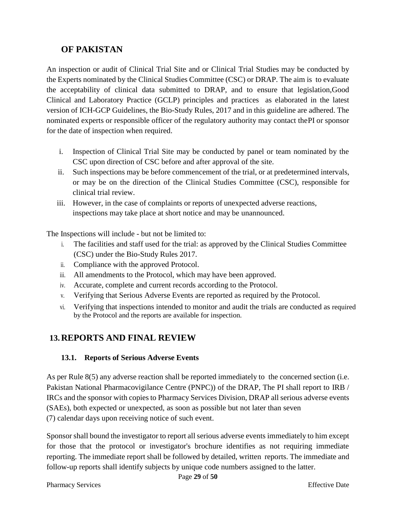# **OF PAKISTAN**

An inspection or audit of Clinical Trial Site and or Clinical Trial Studies may be conducted by the Experts nominated by the Clinical Studies Committee (CSC) or DRAP. The aim is to evaluate the acceptability of clinical data submitted to DRAP, and to ensure that legislation,Good Clinical and Laboratory Practice (GCLP) principles and practices as elaborated in the latest version of ICH-GCP Guidelines, the Bio-Study Rules, 2017 and in this guideline are adhered. The nominated experts or responsible officer of the regulatory authority may contact thePI or sponsor for the date of inspection when required.

- i. Inspection of Clinical Trial Site may be conducted by panel or team nominated by the CSC upon direction of CSC before and after approval of the site.
- ii. Such inspections may be before commencement of the trial, or at predetermined intervals, or may be on the direction of the Clinical Studies Committee (CSC), responsible for clinical trial review.
- iii. However, in the case of complaints or reports of unexpected adverse reactions, inspections may take place at short notice and may be unannounced.

The Inspections will include - but not be limited to:

- i. The facilities and staff used for the trial: as approved by the Clinical Studies Committee (CSC) under the Bio-Study Rules 2017.
- ii. Compliance with the approved Protocol.
- iii. All amendments to the Protocol, which may have been approved.
- iv. Accurate, complete and current records according to the Protocol.
- v. Verifying that Serious Adverse Events are reported as required by the Protocol.
- vi. Verifying that inspections intended to monitor and audit the trials are conducted as required by the Protocol and the reports are available for inspection.

# <span id="page-28-0"></span>**13.REPORTS AND FINAL REVIEW**

#### **13.1. Reports of Serious Adverse Events**

As per Rule 8(5) any adverse reaction shall be reported immediately to the concerned section (i.e. Pakistan National Pharmacovigilance Centre (PNPC)) of the DRAP, The PI shall report to IRB / IRCs and the sponsor with copies to Pharmacy Services Division, DRAP all serious adverse events (SAEs), both expected or unexpected, as soon as possible but not later than seven (7) calendar days upon receiving notice of such event.

Sponsor shall bound the investigator to report all serious adverse events immediately to him except for those that the protocol or investigator's brochure identifies as not requiring immediate reporting. The immediate report shall be followed by detailed, written reports. The immediate and follow-up reports shall identify subjects by unique code numbers assigned to the latter.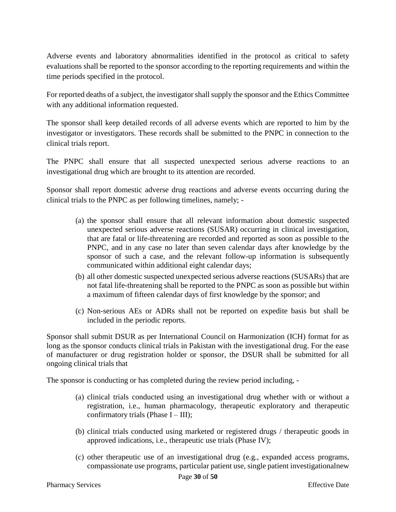Adverse events and laboratory abnormalities identified in the protocol as critical to safety evaluations shall be reported to the sponsor according to the reporting requirements and within the time periods specified in the protocol.

For reported deaths of a subject, the investigator shall supply the sponsor and the Ethics Committee with any additional information requested.

The sponsor shall keep detailed records of all adverse events which are reported to him by the investigator or investigators. These records shall be submitted to the PNPC in connection to the clinical trials report.

The PNPC shall ensure that all suspected unexpected serious adverse reactions to an investigational drug which are brought to its attention are recorded.

Sponsor shall report domestic adverse drug reactions and adverse events occurring during the clinical trials to the PNPC as per following timelines, namely; -

- (a) the sponsor shall ensure that all relevant information about domestic suspected unexpected serious adverse reactions (SUSAR) occurring in clinical investigation, that are fatal or life-threatening are recorded and reported as soon as possible to the PNPC, and in any case no later than seven calendar days after knowledge by the sponsor of such a case, and the relevant follow-up information is subsequently communicated within additional eight calendar days;
- (b) all other domestic suspected unexpected serious adverse reactions (SUSARs) that are not fatal life-threatening shall be reported to the PNPC as soon as possible but within a maximum of fifteen calendar days of first knowledge by the sponsor; and
- (c) Non-serious AEs or ADRs shall not be reported on expedite basis but shall be included in the periodic reports.

Sponsor shall submit DSUR as per International Council on Harmonization (ICH) format for as long as the sponsor conducts clinical trials in Pakistan with the investigational drug. For the ease of manufacturer or drug registration holder or sponsor, the DSUR shall be submitted for all ongoing clinical trials that

The sponsor is conducting or has completed during the review period including, -

- (a) clinical trials conducted using an investigational drug whether with or without a registration, i.e., human pharmacology, therapeutic exploratory and therapeutic confirmatory trials (Phase  $I - III$ );
- (b) clinical trials conducted using marketed or registered drugs / therapeutic goods in approved indications, i.e., therapeutic use trials (Phase IV);
- (c) other therapeutic use of an investigational drug (e.g., expanded access programs, compassionate use programs, particular patient use, single patient investigationalnew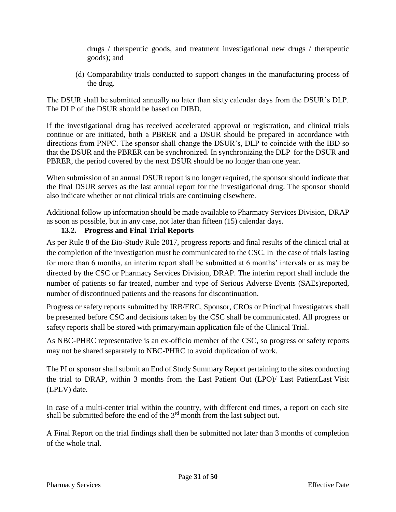drugs / therapeutic goods, and treatment investigational new drugs / therapeutic goods); and

(d) Comparability trials conducted to support changes in the manufacturing process of the drug.

The DSUR shall be submitted annually no later than sixty calendar days from the DSUR's DLP. The DLP of the DSUR should be based on DIBD.

If the investigational drug has received accelerated approval or registration, and clinical trials continue or are initiated, both a PBRER and a DSUR should be prepared in accordance with directions from PNPC. The sponsor shall change the DSUR's, DLP to coincide with the IBD so that the DSUR and the PBRER can be synchronized. In synchronizing the DLP for the DSUR and PBRER, the period covered by the next DSUR should be no longer than one year.

When submission of an annual DSUR report is no longer required, the sponsor should indicate that the final DSUR serves as the last annual report for the investigational drug. The sponsor should also indicate whether or not clinical trials are continuing elsewhere.

Additional follow up information should be made available to Pharmacy Services Division, DRAP as soon as possible, but in any case, not later than fifteen (15) calendar days.

#### **13.2. Progress and Final Trial Reports**

As per Rule 8 of the Bio-Study Rule 2017, progress reports and final results of the clinical trial at the completion of the investigation must be communicated to the CSC. In the case of trials lasting for more than 6 months, an interim report shall be submitted at 6 months' intervals or as may be directed by the CSC or Pharmacy Services Division, DRAP. The interim report shall include the number of patients so far treated, number and type of Serious Adverse Events (SAEs)reported, number of discontinued patients and the reasons for discontinuation.

Progress or safety reports submitted by IRB/ERC, Sponsor, CROs or Principal Investigators shall be presented before CSC and decisions taken by the CSC shall be communicated. All progress or safety reports shall be stored with primary/main application file of the Clinical Trial.

As NBC-PHRC representative is an ex-officio member of the CSC, so progress or safety reports may not be shared separately to NBC-PHRC to avoid duplication of work.

The PI or sponsor shall submit an End of Study Summary Report pertaining to the sites conducting the trial to DRAP, within 3 months from the Last Patient Out (LPO)/ Last PatientLast Visit (LPLV) date.

In case of a multi-center trial within the country, with different end times, a report on each site shall be submitted before the end of the  $3<sup>rd</sup>$  month from the last subject out.

A Final Report on the trial findings shall then be submitted not later than 3 months of completion of the whole trial.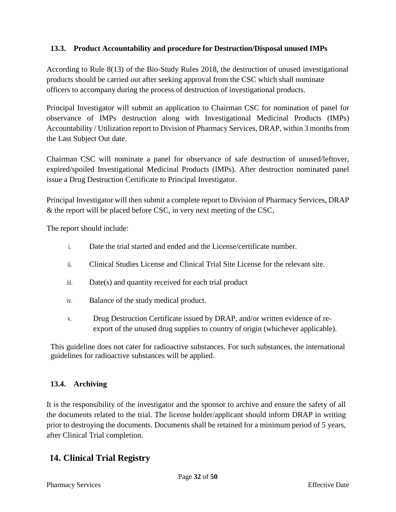#### **13.3. Product Accountability and procedure for Destruction/Disposal unused IMPs**

According to Rule 8(13) of the Bio-Study Rules 2018, the destruction of unused investigational products should be carried out after seeking approval from the CSC which shall nominate officers to accompany during the process of destruction of investigational products.

Principal Investigator will submit an application to Chairman CSC for nomination of panel for observance of IMPs destruction along with Investigational Medicinal Products (IMPs) Accountability / Utilization report to Division of Pharmacy Services, DRAP, within 3 months from the Last Subject Out date.

Chairman CSC will nominate a panel for observance of safe destruction of unused/leftover, expired/spoiled Investigational Medicinal Products (IMPs). After destruction nominated panel issue a Drug Destruction Certificate to Principal Investigator.

Principal Investigator will then submit a complete report to Division of Pharmacy Services, DRAP & the report will be placed before CSC, in very next meeting of the CSC,

The report should include:

- i. Date the trial started and ended and the License/certificate number.
- ii. Clinical Studies License and Clinical Trial Site License for the relevant site.
- iii. Date(s) and quantity received for each trial product
- iv. Balance of the study medical product.
- v. Drug Destruction Certificate issued by DRAP, and/or written evidence of reexport of the unused drug supplies to country of origin (whichever applicable).

This guideline does not cater for radioactive substances. For such substances, the international guidelines for radioactive substances will be applied.

## **13.4. Archiving**

It is the responsibility of the investigator and the sponsor to archive and ensure the safety of all the documents related to the trial. The license holder/applicant should inform DRAP in writing prior to destroying the documents. Documents shall be retained for a minimum period of 5 years, after Clinical Trial completion.

# <span id="page-31-0"></span>**14. Clinical Trial Registry**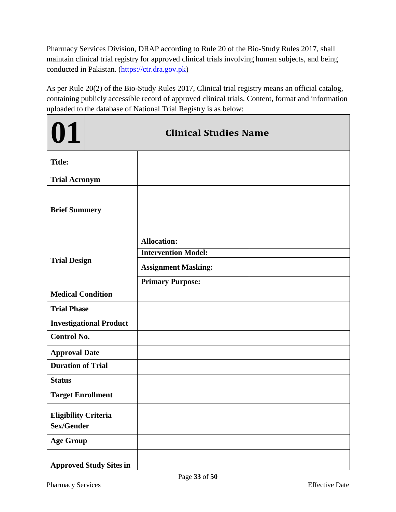Pharmacy Services Division, DRAP according to Rule 20 of the Bio-Study Rules 2017, shall maintain clinical trial registry for approved clinical trials involving human subjects, and being conducted in Pakistan. [\(https://ctr.dra.gov.pk\)](https://ctr.dra.gov.pk/)

As per Rule 20(2) of the Bio-Study Rules 2017, Clinical trial registry means an official catalog, containing publicly accessible record of approved clinical trials. Content, format and information uploaded to the database of National Trial Registry is as below:

| 01                          |                                | <b>Clinical Studies Name</b> |  |  |  |  |
|-----------------------------|--------------------------------|------------------------------|--|--|--|--|
| <b>Title:</b>               |                                |                              |  |  |  |  |
| <b>Trial Acronym</b>        |                                |                              |  |  |  |  |
| <b>Brief Summery</b>        |                                |                              |  |  |  |  |
|                             |                                | <b>Allocation:</b>           |  |  |  |  |
|                             |                                | <b>Intervention Model:</b>   |  |  |  |  |
| <b>Trial Design</b>         |                                | <b>Assignment Masking:</b>   |  |  |  |  |
|                             |                                | <b>Primary Purpose:</b>      |  |  |  |  |
| <b>Medical Condition</b>    |                                |                              |  |  |  |  |
| <b>Trial Phase</b>          |                                |                              |  |  |  |  |
|                             | <b>Investigational Product</b> |                              |  |  |  |  |
| <b>Control No.</b>          |                                |                              |  |  |  |  |
| <b>Approval Date</b>        |                                |                              |  |  |  |  |
| <b>Duration of Trial</b>    |                                |                              |  |  |  |  |
| <b>Status</b>               |                                |                              |  |  |  |  |
| <b>Target Enrollment</b>    |                                |                              |  |  |  |  |
| <b>Eligibility Criteria</b> |                                |                              |  |  |  |  |
| <b>Sex/Gender</b>           |                                |                              |  |  |  |  |
| <b>Age Group</b>            |                                |                              |  |  |  |  |
|                             | <b>Approved Study Sites in</b> |                              |  |  |  |  |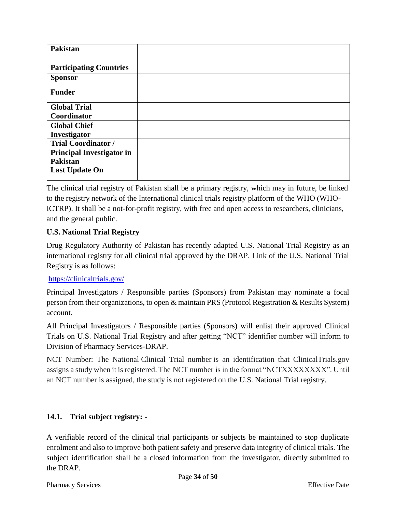| Pakistan                         |  |
|----------------------------------|--|
| <b>Participating Countries</b>   |  |
| <b>Sponsor</b>                   |  |
| <b>Funder</b>                    |  |
| <b>Global Trial</b>              |  |
| Coordinator                      |  |
| <b>Global Chief</b>              |  |
| Investigator                     |  |
| <b>Trial Coordinator /</b>       |  |
| <b>Principal Investigator in</b> |  |
| Pakistan                         |  |
| <b>Last Update On</b>            |  |

The clinical trial registry of Pakistan shall be a primary registry, which may in future, be linked to the registry network of the International clinical trials registry platform of the WHO (WHO-ICTRP). It shall be a not-for-profit registry, with free and open access to researchers, clinicians, and the general public.

#### **U.S. National Trial Registry**

Drug Regulatory Authority of Pakistan has recently adapted U.S. National Trial Registry as an international registry for all clinical trial approved by the DRAP. Link of the U.S. National Trial Registry is as follows:

#### <https://clinicaltrials.gov/>

Principal Investigators / Responsible parties (Sponsors) from Pakistan may nominate a focal person from their organizations, to open & maintain PRS (Protocol Registration & Results System) account.

All Principal Investigators / Responsible parties (Sponsors) will enlist their approved Clinical Trials on U.S. National Trial Registry and after getting "NCT" identifier number will inform to Division of Pharmacy Services-DRAP.

NCT Number: The National Clinical Trial number is an identification that ClinicalTrials.gov assigns a study when it is registered. The NCT number is in the format "NCTXXXXXXXX". Until an NCT number is assigned, the study is not registered on the U.S. National Trial registry.

#### **14.1. Trial subject registry: -**

A verifiable record of the clinical trial participants or subjects be maintained to stop duplicate enrolment and also to improve both patient safety and preserve data integrity of clinical trials. The subject identification shall be a closed information from the investigator, directly submitted to the DRAP.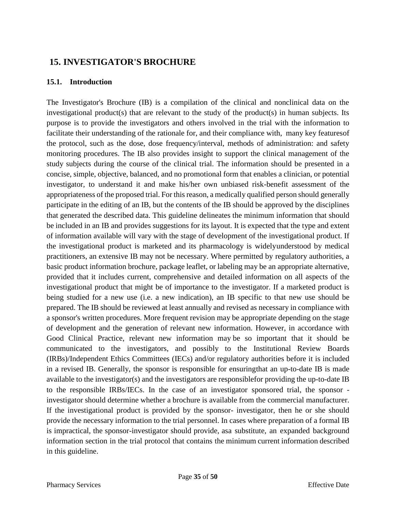# <span id="page-34-0"></span>**15. INVESTIGATOR'S BROCHURE**

#### **15.1. Introduction**

The Investigator's Brochure (IB) is a compilation of the clinical and nonclinical data on the investigational product(s) that are relevant to the study of the product(s) in human subjects. Its purpose is to provide the investigators and others involved in the trial with the information to facilitate their understanding of the rationale for, and their compliance with, many key featuresof the protocol, such as the dose, dose frequency/interval, methods of administration: and safety monitoring procedures. The IB also provides insight to support the clinical management of the study subjects during the course of the clinical trial. The information should be presented in a concise, simple, objective, balanced, and no promotional form that enables a clinician, or potential investigator, to understand it and make his/her own unbiased risk-benefit assessment of the appropriateness of the proposed trial. For this reason, a medically qualified person should generally participate in the editing of an IB, but the contents of the IB should be approved by the disciplines that generated the described data. This guideline delineates the minimum information that should be included in an IB and provides suggestions for its layout. It is expected that the type and extent of information available will vary with the stage of development of the investigational product. If the investigational product is marketed and its pharmacology is widelyunderstood by medical practitioners, an extensive IB may not be necessary. Where permitted by regulatory authorities, a basic product information brochure, package leaflet, or labeling may be an appropriate alternative, provided that it includes current, comprehensive and detailed information on all aspects of the investigational product that might be of importance to the investigator. If a marketed product is being studied for a new use (i.e. a new indication), an IB specific to that new use should be prepared. The IB should be reviewed at least annually and revised as necessary in compliance with a sponsor's written procedures. More frequent revision may be appropriate depending on the stage of development and the generation of relevant new information. However, in accordance with Good Clinical Practice, relevant new information may be so important that it should be communicated to the investigators, and possibly to the Institutional Review Boards (IRBs)/Independent Ethics Committees (IECs) and/or regulatory authorities before it is included in a revised IB. Generally, the sponsor is responsible for ensuringthat an up-to-date IB is made available to the investigator(s) and the investigators are responsiblefor providing the up-to-date IB to the responsible IRBs/IECs. In the case of an investigator sponsored trial, the sponsor investigator should determine whether a brochure is available from the commercial manufacturer. If the investigational product is provided by the sponsor- investigator, then he or she should provide the necessary information to the trial personnel. In cases where preparation of a formal IB is impractical, the sponsor-investigator should provide, asa substitute, an expanded background information section in the trial protocol that contains the minimum current information described in this guideline.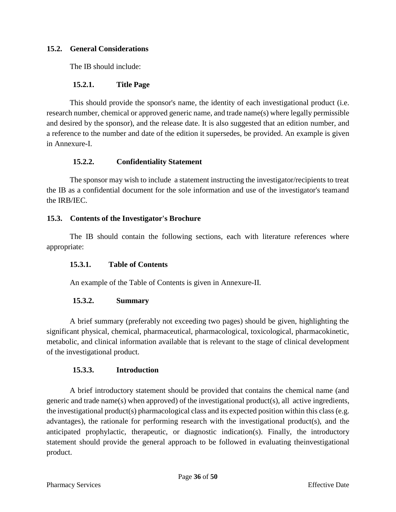#### **15.2. General Considerations**

The IB should include:

#### **15.2.1. Title Page**

This should provide the sponsor's name, the identity of each investigational product (i.e. research number, chemical or approved generic name, and trade name(s) where legally permissible and desired by the sponsor), and the release date. It is also suggested that an edition number, and a reference to the number and date of the edition it supersedes, be provided. An example is given in Annexure-I.

#### **15.2.2. Confidentiality Statement**

The sponsor may wish to include a statement instructing the investigator/recipients to treat the IB as a confidential document for the sole information and use of the investigator's teamand the IRB/IEC.

#### **15.3. Contents of the Investigator's Brochure**

The IB should contain the following sections, each with literature references where appropriate:

#### **15.3.1. Table of Contents**

An example of the Table of Contents is given in Annexure-II.

#### **15.3.2. Summary**

A brief summary (preferably not exceeding two pages) should be given, highlighting the significant physical, chemical, pharmaceutical, pharmacological, toxicological, pharmacokinetic, metabolic, and clinical information available that is relevant to the stage of clinical development of the investigational product.

#### **15.3.3. Introduction**

A brief introductory statement should be provided that contains the chemical name (and generic and trade name(s) when approved) of the investigational product(s), all active ingredients, the investigational product(s) pharmacological class and its expected position within this class (e.g. advantages), the rationale for performing research with the investigational product(s), and the anticipated prophylactic, therapeutic, or diagnostic indication(s). Finally, the introductory statement should provide the general approach to be followed in evaluating theinvestigational product.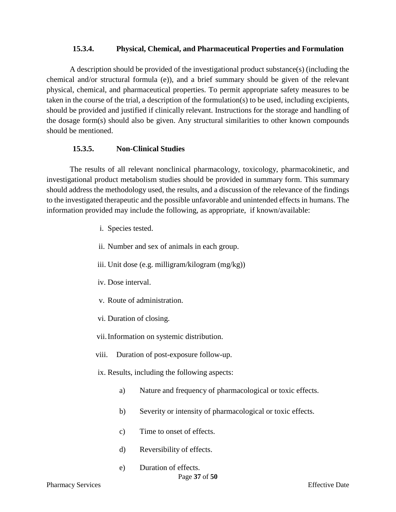#### **15.3.4. Physical, Chemical, and Pharmaceutical Properties and Formulation**

A description should be provided of the investigational product substance(s) (including the chemical and/or structural formula (e)), and a brief summary should be given of the relevant physical, chemical, and pharmaceutical properties. To permit appropriate safety measures to be taken in the course of the trial, a description of the formulation(s) to be used, including excipients, should be provided and justified if clinically relevant. Instructions for the storage and handling of the dosage form(s) should also be given. Any structural similarities to other known compounds should be mentioned.

#### **15.3.5. Non-Clinical Studies**

The results of all relevant nonclinical pharmacology, toxicology, pharmacokinetic, and investigational product metabolism studies should be provided in summary form. This summary should address the methodology used, the results, and a discussion of the relevance of the findings to the investigated therapeutic and the possible unfavorable and unintended effects in humans. The information provided may include the following, as appropriate, if known/available:

- i. Species tested.
- ii. Number and sex of animals in each group.
- iii. Unit dose (e.g. milligram/kilogram (mg/kg))
- iv. Dose interval.
- v. Route of administration.
- vi. Duration of closing.
- vii.Information on systemic distribution.
- viii. Duration of post-exposure follow-up.
- ix. Results, including the following aspects:
	- a) Nature and frequency of pharmacological or toxic effects.
	- b) Severity or intensity of pharmacological or toxic effects.
	- c) Time to onset of effects.
	- d) Reversibility of effects.
	- Page **37** of **50** e) Duration of effects.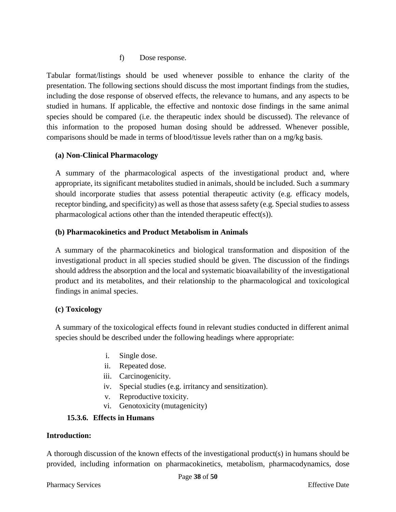#### f) Dose response.

Tabular format/listings should be used whenever possible to enhance the clarity of the presentation. The following sections should discuss the most important findings from the studies, including the dose response of observed effects, the relevance to humans, and any aspects to be studied in humans. If applicable, the effective and nontoxic dose findings in the same animal species should be compared (i.e. the therapeutic index should be discussed). The relevance of this information to the proposed human dosing should be addressed. Whenever possible, comparisons should be made in terms of blood/tissue levels rather than on a mg/kg basis.

#### **(a) Non-Clinical Pharmacology**

A summary of the pharmacological aspects of the investigational product and, where appropriate, its significant metabolites studied in animals, should be included. Such a summary should incorporate studies that assess potential therapeutic activity (e.g. efficacy models, receptor binding, and specificity) as well as those that assess safety (e.g. Special studiesto assess pharmacological actions other than the intended therapeutic effect(s)).

#### **(b) Pharmacokinetics and Product Metabolism in Animals**

A summary of the pharmacokinetics and biological transformation and disposition of the investigational product in all species studied should be given. The discussion of the findings should address the absorption and the local and systematic bioavailability of the investigational product and its metabolites, and their relationship to the pharmacological and toxicological findings in animal species.

#### **(c) Toxicology**

A summary of the toxicological effects found in relevant studies conducted in different animal species should be described under the following headings where appropriate:

- i. Single dose.
- ii. Repeated dose.
- iii. Carcinogenicity.
- iv. Special studies (e.g. irritancy and sensitization).
- v. Reproductive toxicity.
- vi. Genotoxicity (mutagenicity)

#### **15.3.6. Effects in Humans**

#### **Introduction:**

A thorough discussion of the known effects of the investigational product(s) in humans should be provided, including information on pharmacokinetics, metabolism, pharmacodynamics, dose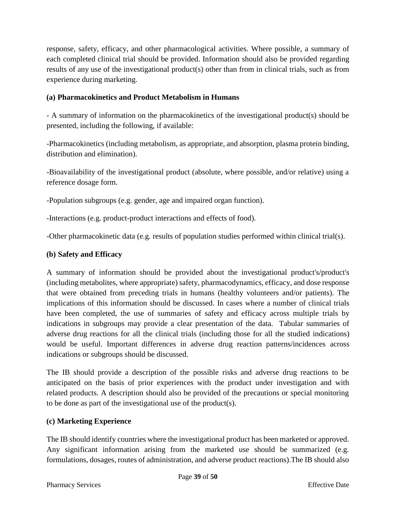response, safety, efficacy, and other pharmacological activities. Where possible, a summary of each completed clinical trial should be provided. Information should also be provided regarding results of any use of the investigational product(s) other than from in clinical trials, such as from experience during marketing.

#### **(a) Pharmacokinetics and Product Metabolism in Humans**

- A summary of information on the pharmacokinetics of the investigational product(s) should be presented, including the following, if available:

-Pharmacokinetics (including metabolism, as appropriate, and absorption, plasma protein binding, distribution and elimination).

-Bioavailability of the investigational product (absolute, where possible, and/or relative) using a reference dosage form.

-Population subgroups (e.g. gender, age and impaired organ function).

-Interactions (e.g. product-product interactions and effects of food).

-Other pharmacokinetic data (e.g. results of population studies performed within clinical trial(s).

#### **(b) Safety and Efficacy**

A summary of information should be provided about the investigational product's/product's (including metabolites, where appropriate) safety, pharmacodynamics, efficacy, and dose response that were obtained from preceding trials in humans (healthy volunteers and/or patients). The implications of this information should be discussed. In cases where a number of clinical trials have been completed, the use of summaries of safety and efficacy across multiple trials by indications in subgroups may provide a clear presentation of the data. Tabular summaries of adverse drug reactions for all the clinical trials (including those for all the studied indications) would be useful. Important differences in adverse drug reaction patterns/incidences across indications or subgroups should be discussed.

The IB should provide a description of the possible risks and adverse drug reactions to be anticipated on the basis of prior experiences with the product under investigation and with related products. A description should also be provided of the precautions or special monitoring to be done as part of the investigational use of the product(s).

#### **(c) Marketing Experience**

The IB should identify countries where the investigational product has been marketed or approved. Any significant information arising from the marketed use should be summarized (e.g. formulations, dosages, routes of administration, and adverse product reactions).The IB should also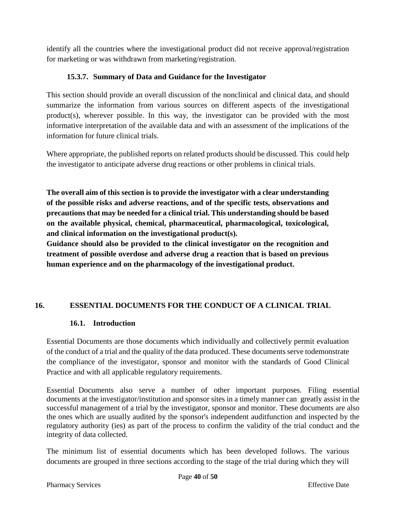identify all the countries where the investigational product did not receive approval/registration for marketing or was withdrawn from marketing/registration.

#### **15.3.7. Summary of Data and Guidance for the Investigator**

This section should provide an overall discussion of the nonclinical and clinical data, and should summarize the information from various sources on different aspects of the investigational product(s), wherever possible. In this way, the investigator can be provided with the most informative interpretation of the available data and with an assessment of the implications of the information for future clinical trials.

Where appropriate, the published reports on related products should be discussed. This could help the investigator to anticipate adverse drug reactions or other problems in clinical trials.

**The overall aim of this section is to provide the investigator with a clear understanding of the possible risks and adverse reactions, and of the specific tests, observations and precautionsthat may be needed for a clinical trial. This understanding should be based on the available physical, chemical, pharmaceutical, pharmacological, toxicological, and clinical information on the investigational product(s).**

**Guidance should also be provided to the clinical investigator on the recognition and treatment of possible overdose and adverse drug a reaction that is based on previous human experience and on the pharmacology of the investigational product.**

## **16. ESSENTIAL DOCUMENTS FOR THE CONDUCT OF A CLINICAL TRIAL**

#### **16.1. Introduction**

Essential Documents are those documents which individually and collectively permit evaluation of the conduct of a trial and the quality of the data produced. These documents serve todemonstrate the compliance of the investigator, sponsor and monitor with the standards of Good Clinical Practice and with all applicable regulatory requirements.

Essential Documents also serve a number of other important purposes. Filing essential documents at the investigator/institution and sponsor sites in a timely manner can greatly assist in the successful management of a trial by the investigator, sponsor and monitor. These documents are also the ones which are usually audited by the sponsor's independent auditfunction and inspected by the regulatory authority (ies) as part of the process to confirm the validity of the trial conduct and the integrity of data collected.

The minimum list of essential documents which has been developed follows. The various documents are grouped in three sections according to the stage of the trial during which they will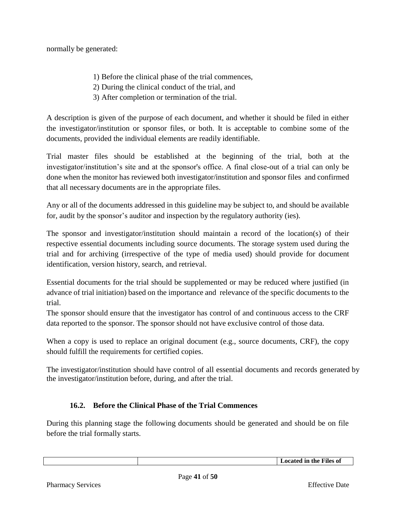normally be generated:

- 1) Before the clinical phase of the trial commences,
- 2) During the clinical conduct of the trial, and
- 3) After completion or termination of the trial.

A description is given of the purpose of each document, and whether it should be filed in either the investigator/institution or sponsor files, or both. It is acceptable to combine some of the documents, provided the individual elements are readily identifiable.

Trial master files should be established at the beginning of the trial, both at the investigator/institution's site and at the sponsor's office. A final close-out of a trial can only be done when the monitor has reviewed both investigator/institution and sponsor files and confirmed that all necessary documents are in the appropriate files.

Any or all of the documents addressed in this guideline may be subject to, and should be available for, audit by the sponsor's auditor and inspection by the regulatory authority (ies).

The sponsor and investigator/institution should maintain a record of the location(s) of their respective essential documents including source documents. The storage system used during the trial and for archiving (irrespective of the type of media used) should provide for document identification, version history, search, and retrieval.

Essential documents for the trial should be supplemented or may be reduced where justified (in advance of trial initiation) based on the importance and relevance of the specific documents to the trial.

The sponsor should ensure that the investigator has control of and continuous access to the CRF data reported to the sponsor. The sponsor should not have exclusive control of those data.

When a copy is used to replace an original document (e.g., source documents, CRF), the copy should fulfill the requirements for certified copies.

The investigator/institution should have control of all essential documents and records generated by the investigator/institution before, during, and after the trial.

## **16.2. Before the Clinical Phase of the Trial Commences**

During this planning stage the following documents should be generated and should be on file before the trial formally starts.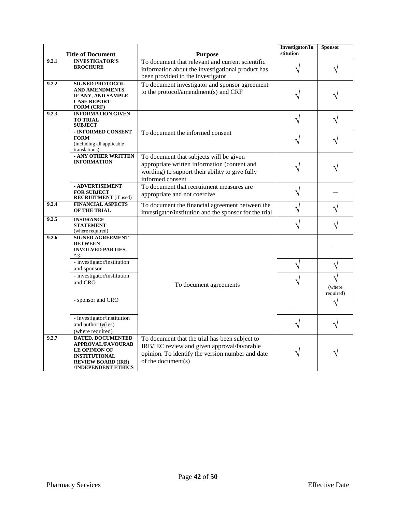| <b>Title of Document</b> |                                                                                                                                                         | <b>Purpose</b>                                                                                                                                                          | Investigator/In<br>stitution | <b>Sponsor</b>       |
|--------------------------|---------------------------------------------------------------------------------------------------------------------------------------------------------|-------------------------------------------------------------------------------------------------------------------------------------------------------------------------|------------------------------|----------------------|
| 9.2.1                    | <b>INVESTIGATOR'S</b><br><b>BROCHURE</b>                                                                                                                | To document that relevant and current scientific<br>information about the investigational product has<br>been provided to the investigator                              |                              |                      |
| 9.2.2                    | <b>SIGNED PROTOCOL</b><br>AND AMENDMENTS,<br>IF ANY, AND SAMPLE<br><b>CASE REPORT</b><br><b>FORM (CRF)</b>                                              | To document investigator and sponsor agreement<br>to the protocol/amendment(s) and CRF                                                                                  |                              |                      |
| 9.2.3                    | <b>INFORMATION GIVEN</b><br><b>TO TRIAL</b><br><b>SUBJECT</b>                                                                                           |                                                                                                                                                                         |                              |                      |
|                          | - INFORMED CONSENT<br><b>FORM</b><br>(including all applicable)<br>translations)                                                                        | To document the informed consent                                                                                                                                        |                              |                      |
|                          | - ANY OTHER WRITTEN<br><b>INFORMATION</b>                                                                                                               | To document that subjects will be given<br>appropriate written information (content and<br>wording) to support their ability to give fully<br>informed consent          |                              |                      |
|                          | - ADVERTISEMENT<br><b>FOR SUBJECT</b><br><b>RECRUITMENT</b> (if used)                                                                                   | To document that recruitment measures are<br>appropriate and not coercive                                                                                               |                              |                      |
| 9.2.4                    | <b>FINANCIAL ASPECTS</b><br><b>OF THE TRIAL</b>                                                                                                         | To document the financial agreement between the<br>investigator/institution and the sponsor for the trial                                                               |                              |                      |
| 9.2.5                    | <b>INSURANCE</b><br><b>STATEMENT</b><br>(where required)                                                                                                |                                                                                                                                                                         |                              |                      |
| 9.2.6                    | <b>SIGNED AGREEMENT</b><br><b>BETWEEN</b><br><b>INVOLVED PARTIES,</b><br>$e.g.$ :                                                                       |                                                                                                                                                                         |                              |                      |
|                          | - investigator/institution<br>and sponsor                                                                                                               |                                                                                                                                                                         |                              |                      |
|                          | - investigator/institution<br>and CRO                                                                                                                   | To document agreements                                                                                                                                                  |                              | (where)<br>required) |
|                          | - sponsor and CRO                                                                                                                                       |                                                                                                                                                                         |                              |                      |
|                          | - investigator/institution<br>and authority(ies)<br>(where required)                                                                                    |                                                                                                                                                                         |                              |                      |
| 9.2.7                    | DATED, DOCUMENTED<br><b>APPROVAL/FAVOURAB</b><br><b>LE OPINION OF</b><br><b>INSTITUTIONAL</b><br><b>REVIEW BOARD (IRB)</b><br><b>INDEPENDENT ETHICS</b> | To document that the trial has been subject to<br>IRB/IEC review and given approval/favorable<br>opinion. To identify the version number and date<br>of the document(s) |                              |                      |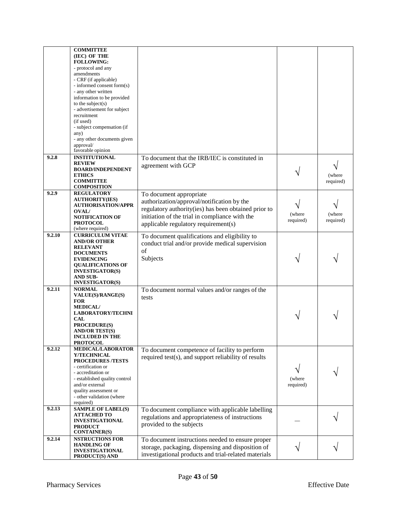|        | <b>COMMITTEE</b><br>(IEC) OF THE<br><b>FOLLOWING:</b><br>- protocol and any<br>amendments<br>- CRF (if applicable)<br>- informed consent form(s)<br>- any other written<br>information to be provided<br>to the subject(s)<br>- advertisement for subject<br>recruitment<br>(if used)<br>- subject compensation (if<br>any)<br>- any other documents given<br>approval/<br>favorable opinion |                                                                                                                                                                                                                         |                     |                     |
|--------|----------------------------------------------------------------------------------------------------------------------------------------------------------------------------------------------------------------------------------------------------------------------------------------------------------------------------------------------------------------------------------------------|-------------------------------------------------------------------------------------------------------------------------------------------------------------------------------------------------------------------------|---------------------|---------------------|
| 9.2.8  | <b>INSTITUTIONAL</b><br><b>REVIEW</b><br><b>BOARD/INDEPENDENT</b><br><b>ETHICS</b><br><b>COMMITTEE</b><br><b>COMPOSITION</b>                                                                                                                                                                                                                                                                 | To document that the IRB/IEC is constituted in<br>agreement with GCP                                                                                                                                                    |                     | (where<br>required) |
| 9.2.9  | <b>REGULATORY</b><br><b>AUTHORITY(IES)</b><br><b>AUTHORISATION/APPR</b><br>OVAL/<br><b>NOTIFICATION OF</b><br><b>PROTOCOL</b><br>(where required)                                                                                                                                                                                                                                            | To document appropriate<br>authorization/approval/notification by the<br>regulatory authority(ies) has been obtained prior to<br>initiation of the trial in compliance with the<br>applicable regulatory requirement(s) | (where<br>required) | (where<br>required) |
| 9.2.10 | <b>CURRICULUM VITAE</b><br><b>AND/OR OTHER</b><br><b>RELEVANT</b><br><b>DOCUMENTS</b><br><b>EVIDENCING</b><br><b>QUALIFICATIONS OF</b><br><b>INVESTIGATOR(S)</b><br><b>AND SUB-</b><br><b>INVESTIGATOR(S)</b>                                                                                                                                                                                | To document qualifications and eligibility to<br>conduct trial and/or provide medical supervision<br>of<br>Subjects                                                                                                     |                     |                     |
| 9.2.11 | <b>NORMAL</b><br><b>VALUE(S)/RANGE(S)</b><br><b>FOR</b><br><b>MEDICAL/</b><br><b>LABORATORY/TECHNI</b><br><b>CAL</b><br><b>PROCEDURE(S)</b><br><b>AND/OR TEST(S)</b><br><b>INCLUDED IN THE</b><br><b>PROTOCOL</b>                                                                                                                                                                            | To document normal values and/or ranges of the<br>tests                                                                                                                                                                 |                     |                     |
| 9.2.12 | MEDICAL/LABORATOR<br>Y/TECHNICAL<br><b>PROCEDURES/TESTS</b><br>- certification or<br>- accreditation or<br>- established quality control<br>and/or external<br>quality assessment or<br>- other validation (where<br>required)                                                                                                                                                               | To document competence of facility to perform<br>required test(s), and support reliability of results                                                                                                                   | (where<br>required) |                     |
| 9.2.13 | <b>SAMPLE OF LABEL(S)</b><br><b>ATTACHED TO</b><br><b>INVESTIGATIONAL</b><br><b>PRODUCT</b><br><b>CONTAINER(S)</b>                                                                                                                                                                                                                                                                           | To document compliance with applicable labelling<br>regulations and appropriateness of instructions<br>provided to the subjects                                                                                         |                     |                     |
| 9.2.14 | <b>NSTRUCTIONS FOR</b><br><b>HANDLING OF</b><br><b>INVESTIGATIONAL</b><br>PRODUCT(S) AND                                                                                                                                                                                                                                                                                                     | To document instructions needed to ensure proper<br>storage, packaging, dispensing and disposition of<br>investigational products and trial-related materials                                                           |                     |                     |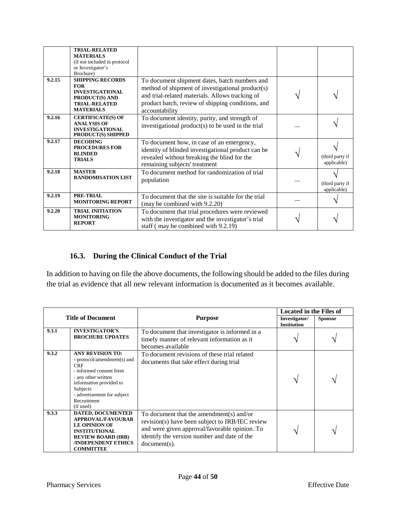|        | <b>TRIAL-RELATED</b><br><b>MATERIALS</b><br>(if not included in protocol<br>or Investigator's<br>Brochure)                           |                                                                                                                                                                                                                             |                                |
|--------|--------------------------------------------------------------------------------------------------------------------------------------|-----------------------------------------------------------------------------------------------------------------------------------------------------------------------------------------------------------------------------|--------------------------------|
| 9.2.15 | <b>SHIPPING RECORDS</b><br><b>FOR</b><br><b>INVESTIGATIONAL</b><br><b>PRODUCT(S) AND</b><br><b>TRIAL-RELATED</b><br><b>MATERIALS</b> | To document shipment dates, batch numbers and<br>method of shipment of investigational product(s)<br>and trial-related materials. Allows tracking of<br>product batch, review of shipping conditions, and<br>accountability |                                |
| 9.2.16 | <b>CERTIFICATE(S) OF</b><br><b>ANALYSIS OF</b><br><b>INVESTIGATIONAL</b><br>PRODUCT(S) SHIPPED                                       | To document identity, purity, and strength of<br>investigational product(s) to be used in the trial                                                                                                                         |                                |
| 9.2.17 | <b>DECODING</b><br><b>PROCEDURES FOR</b><br><b>BLINDED</b><br><b>TRIALS</b>                                                          | To document how, in case of an emergency,<br>identity of blinded investigational product can be<br>revealed without breaking the blind for the<br>remaining subjects' treatment                                             | (third party if<br>applicable) |
| 9.2.18 | <b>MASTER</b><br><b>RANDOMISATION LIST</b>                                                                                           | To document method for randomization of trial<br>population                                                                                                                                                                 | (third party if<br>applicable) |
| 9.2.19 | PRE-TRIAL<br><b>MONITORING REPORT</b>                                                                                                | To document that the site is suitable for the trial<br>(may be combined with 9.2.20)                                                                                                                                        |                                |
| 9.2.20 | <b>TRIAL INITIATION</b><br><b>MONITORING</b><br><b>REPORT</b>                                                                        | To document that trial procedures were reviewed<br>with the investigator and the investigator's trial<br>staff (may be combined with 9.2.19)                                                                                |                                |

## **16.3. During the Clinical Conduct of the Trial**

In addition to having on file the above documents, the following should be added to the files during the trial as evidence that all new relevant information is documented as it becomes available.

| <b>Title of Document</b> |                                                                                                                                                                                                                          | <b>Purpose</b>                                                                                                                                                                                                 | <b>Located in the Files of</b>      |                |
|--------------------------|--------------------------------------------------------------------------------------------------------------------------------------------------------------------------------------------------------------------------|----------------------------------------------------------------------------------------------------------------------------------------------------------------------------------------------------------------|-------------------------------------|----------------|
|                          |                                                                                                                                                                                                                          |                                                                                                                                                                                                                | Investigator/<br><b>Institution</b> | <b>Sponsor</b> |
| 9.3.1                    | <b>INVESTIGATOR'S</b><br><b>BROCHURE UPDATES</b>                                                                                                                                                                         | To document that investigator is informed in a<br>timely manner of relevant information as it<br>becomes available                                                                                             |                                     |                |
| 9.3.2                    | <b>ANY REVISION TO:</b><br>- protocol/amendment(s) and<br><b>CRF</b><br>- informed consent form<br>- any other written<br>information provided to<br>Subjects<br>- advertisement for subject<br>Recruitment<br>(if used) | To document revisions of these trial related<br>documents that take effect during trial                                                                                                                        |                                     |                |
| 9.3.3                    | <b>DATED, DOCUMENTED</b><br><b>APPROVAL/FAVOURAB</b><br><b>LE OPINION OF</b><br><b>INSTITUTIONAL</b><br><b>REVIEW BOARD (IRB)</b><br><b>INDEPENDENT ETHICS</b><br><b>COMMITTEE</b>                                       | To document that the amendment(s) and/or<br>revision(s) have been subject to IRB/IEC review<br>and were given approval/favorable opinion. To<br>identify the version number and date of the<br>$document(s)$ . |                                     |                |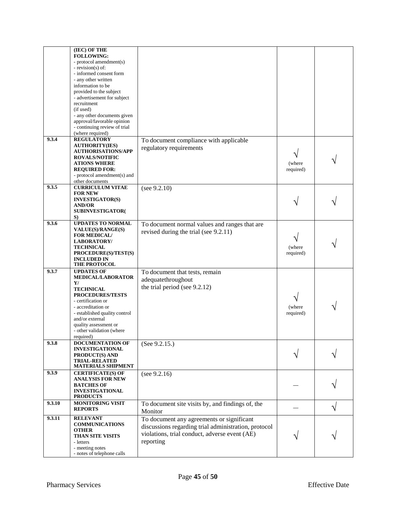|        | (IEC) OF THE                                        |                                                      |                     |  |
|--------|-----------------------------------------------------|------------------------------------------------------|---------------------|--|
|        | <b>FOLLOWING:</b>                                   |                                                      |                     |  |
|        | - protocol amendment(s)                             |                                                      |                     |  |
|        | - revision(s) of:                                   |                                                      |                     |  |
|        | - informed consent form                             |                                                      |                     |  |
|        | - any other written                                 |                                                      |                     |  |
|        | information to be                                   |                                                      |                     |  |
|        | provided to the subject                             |                                                      |                     |  |
|        | - advertisement for subject                         |                                                      |                     |  |
|        | recruitment                                         |                                                      |                     |  |
|        | (if used)                                           |                                                      |                     |  |
|        | - any other documents given                         |                                                      |                     |  |
|        | approval/favorable opinion                          |                                                      |                     |  |
|        | - continuing review of trial<br>(where required)    |                                                      |                     |  |
| 9.3.4  | <b>REGULATORY</b>                                   |                                                      |                     |  |
|        | <b>AUTHORITY(IES)</b>                               | To document compliance with applicable               |                     |  |
|        | <b>AUTHORISATIONS/APP</b>                           | regulatory requirements                              |                     |  |
|        | <b>ROVALS/NOTIFIC</b>                               |                                                      |                     |  |
|        | <b>ATIONS WHERE</b>                                 |                                                      | (where              |  |
|        | <b>REQUIRED FOR:</b>                                |                                                      | required)           |  |
|        | - protocol amendment(s) and                         |                                                      |                     |  |
|        | other documents                                     |                                                      |                     |  |
| 9.3.5  | <b>CURRICULUM VITAE</b>                             | (see 9.2.10)                                         |                     |  |
|        | <b>FOR NEW</b>                                      |                                                      |                     |  |
|        | <b>INVESTIGATOR(S)</b>                              |                                                      |                     |  |
|        | <b>AND/OR</b>                                       |                                                      |                     |  |
|        | <b>SUBINVESTIGATOR(</b>                             |                                                      |                     |  |
|        | S)                                                  |                                                      |                     |  |
| 9.3.6  | <b>UPDATES TO NORMAL</b>                            | To document normal values and ranges that are        |                     |  |
|        | <b>VALUE(S)/RANGE(S)</b>                            | revised during the trial (see 9.2.11)                |                     |  |
|        | <b>FOR MEDICAL/</b>                                 |                                                      | ٦                   |  |
|        | <b>LABORATORY/</b>                                  |                                                      |                     |  |
|        | <b>TECHNICAL</b>                                    |                                                      | (where              |  |
|        | PROCEDURE(S)/TEST(S)                                |                                                      | required)           |  |
|        | <b>INCLUDED IN</b>                                  |                                                      |                     |  |
|        | <b>THE PROTOCOL</b>                                 |                                                      |                     |  |
| 9.3.7  | <b>UPDATES OF</b>                                   | To document that tests, remain                       |                     |  |
|        | <b>MEDICAL/LABORATOR</b>                            | adequatethroughout                                   |                     |  |
|        | Y/                                                  | the trial period (see 9.2.12)                        |                     |  |
|        | <b>TECHNICAL</b>                                    |                                                      |                     |  |
|        | <b>PROCEDURES/TESTS</b>                             |                                                      | ٦                   |  |
|        | - certification or                                  |                                                      |                     |  |
|        | - accreditation or<br>- established quality control |                                                      | (where<br>required) |  |
|        | and/or external                                     |                                                      |                     |  |
|        | quality assessment or                               |                                                      |                     |  |
|        | - other validation (where                           |                                                      |                     |  |
|        | required)                                           |                                                      |                     |  |
| 9.3.8  | <b>DOCUMENTATION OF</b>                             | (See 9.2.15.)                                        |                     |  |
|        | <b>INVESTIGATIONAL</b>                              |                                                      |                     |  |
|        | PRODUCT(S) AND                                      |                                                      |                     |  |
|        | <b>TRIAL-RELATED</b>                                |                                                      |                     |  |
|        | <b>MATERIALS SHIPMENT</b>                           |                                                      |                     |  |
| 9.3.9  | <b>CERTIFICATE(S) OF</b>                            | (see 9.2.16)                                         |                     |  |
|        | <b>ANALYSIS FOR NEW</b>                             |                                                      |                     |  |
|        | <b>BATCHES OF</b>                                   |                                                      |                     |  |
|        | <b>INVESTIGATIONAL</b>                              |                                                      |                     |  |
|        | <b>PRODUCTS</b>                                     |                                                      |                     |  |
| 9.3.10 | <b>MONITORING VISIT</b>                             | To document site visits by, and findings of, the     |                     |  |
|        | <b>REPORTS</b>                                      | Monitor                                              |                     |  |
| 9.3.11 | <b>RELEVANT</b>                                     | To document any agreements or significant            |                     |  |
|        | <b>COMMUNICATIONS</b>                               |                                                      |                     |  |
|        | <b>OTHER</b>                                        | discussions regarding trial administration, protocol |                     |  |
|        | THAN SITE VISITS                                    | violations, trial conduct, adverse event (AE)        |                     |  |
|        | - letters                                           | reporting                                            |                     |  |
|        | - meeting notes                                     |                                                      |                     |  |
|        | - notes of telephone calls                          |                                                      |                     |  |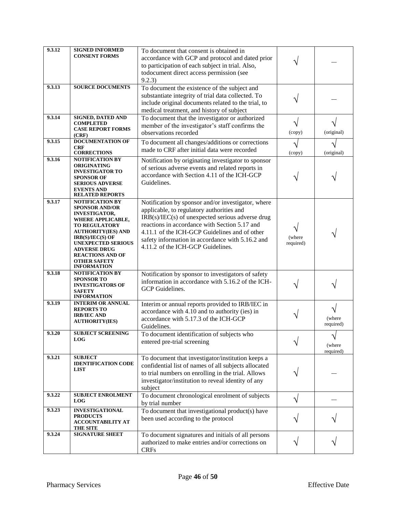| 9.3.12 | <b>SIGNED INFORMED</b>                        | To document that consent is obtained in                                                                 |                     |            |
|--------|-----------------------------------------------|---------------------------------------------------------------------------------------------------------|---------------------|------------|
|        | <b>CONSENT FORMS</b>                          | accordance with GCP and protocol and dated prior                                                        |                     |            |
|        |                                               | to participation of each subject in trial. Also,                                                        |                     |            |
|        |                                               | todocument direct access permission (see                                                                |                     |            |
|        |                                               | 9.2.3)                                                                                                  |                     |            |
| 9.3.13 | <b>SOURCE DOCUMENTS</b>                       | To document the existence of the subject and                                                            |                     |            |
|        |                                               | substantiate integrity of trial data collected. To                                                      |                     |            |
|        |                                               | include original documents related to the trial, to                                                     |                     |            |
|        |                                               | medical treatment, and history of subject                                                               |                     |            |
| 9.3.14 | <b>SIGNED, DATED AND</b>                      | To document that the investigator or authorized                                                         |                     |            |
|        | <b>COMPLETED</b><br><b>CASE REPORT FORMS</b>  | member of the investigator's staff confirms the                                                         |                     |            |
|        | (CRF)                                         | observations recorded                                                                                   | (copy)              | (original) |
| 9.3.15 | <b>DOCUMENTATION OF</b>                       | To document all changes/additions or corrections                                                        |                     |            |
|        | <b>CRF</b>                                    | made to CRF after initial data were recorded                                                            |                     |            |
| 9.3.16 | <b>CORRECTIONS</b><br><b>NOTIFICATION BY</b>  |                                                                                                         | (copy)              | (original) |
|        | ORIGINATING                                   | Notification by originating investigator to sponsor<br>of serious adverse events and related reports in |                     |            |
|        | <b>INVESTIGATOR TO</b>                        | accordance with Section 4.11 of the ICH-GCP                                                             |                     |            |
|        | <b>SPONSOR OF</b>                             | Guidelines.                                                                                             |                     |            |
|        | <b>SERIOUS ADVERSE</b><br><b>EVENTS AND</b>   |                                                                                                         |                     |            |
|        | <b>RELATED REPORTS</b>                        |                                                                                                         |                     |            |
| 9.3.17 | <b>NOTIFICATION BY</b>                        | Notification by sponsor and/or investigator, where                                                      |                     |            |
|        | <b>SPONSOR AND/OR</b><br><b>INVESTIGATOR,</b> | applicable, to regulatory authorities and                                                               |                     |            |
|        | WHERE APPLICABLE,                             | IRB(s)/IEC(s) of unexpected serious adverse drug                                                        |                     |            |
|        | <b>TO REGULATORY</b>                          | reactions in accordance with Section 5.17 and                                                           |                     |            |
|        | <b>AUTHORITY(IES) AND</b>                     | 4.11.1 of the ICH-GCP Guidelines and of other                                                           |                     |            |
|        | IRB(S)/IEC(S) OF<br><b>UNEXPECTED SERIOUS</b> | safety information in accordance with 5.16.2 and                                                        | (where<br>required) |            |
|        | <b>ADVERSE DRUG</b>                           | 4.11.2 of the ICH-GCP Guidelines.                                                                       |                     |            |
|        | <b>REACTIONS AND OF</b>                       |                                                                                                         |                     |            |
|        | <b>OTHER SAFETY</b><br><b>INFORMATION</b>     |                                                                                                         |                     |            |
| 9.3.18 | <b>NOTIFICATION BY</b>                        | Notification by sponsor to investigators of safety                                                      |                     |            |
|        | <b>SPONSOR TO</b>                             | information in accordance with 5.16.2 of the ICH-                                                       |                     |            |
|        | <b>INVESTIGATORS OF</b><br><b>SAFETY</b>      | <b>GCP</b> Guidelines.                                                                                  |                     |            |
|        | <b>INFORMATION</b>                            |                                                                                                         |                     |            |
| 9.3.19 | <b>INTERIM OR ANNUAL</b>                      | Interim or annual reports provided to IRB/IEC in                                                        |                     |            |
|        | <b>REPORTS TO</b>                             | accordance with 4.10 and to authority (ies) in                                                          |                     |            |
|        | <b>IRB/IEC AND</b><br><b>AUTHORITY(IES)</b>   | accordance with 5.17.3 of the ICH-GCP                                                                   |                     | (where     |
|        |                                               | Guidelines.                                                                                             |                     | required)  |
| 9.3.20 | <b>SUBJECT SCREENING</b>                      | To document identification of subjects who                                                              |                     | ٧          |
|        | LOG                                           | entered pre-trial screening                                                                             |                     | (where)    |
|        |                                               |                                                                                                         |                     | required)  |
| 9.3.21 | <b>SUBJECT</b>                                | To document that investigator/institution keeps a                                                       |                     |            |
|        | <b>IDENTIFICATION CODE</b><br><b>LIST</b>     | confidential list of names of all subjects allocated                                                    |                     |            |
|        |                                               | to trial numbers on enrolling in the trial. Allows                                                      |                     |            |
|        |                                               | investigator/institution to reveal identity of any                                                      |                     |            |
|        |                                               | subject                                                                                                 |                     |            |
| 9.3.22 | <b>SUBJECT ENROLMENT</b><br>LOG               | To document chronological enrolment of subjects                                                         |                     |            |
|        |                                               | by trial number                                                                                         |                     |            |
| 9.3.23 | <b>INVESTIGATIONAL</b><br><b>PRODUCTS</b>     | To document that investigational product(s) have                                                        |                     |            |
|        | <b>ACCOUNTABILITY AT</b>                      | been used according to the protocol                                                                     |                     |            |
|        | <b>THE SITE</b>                               |                                                                                                         |                     |            |
| 9.3.24 | <b>SIGNATURE SHEET</b>                        | To document signatures and initials of all persons                                                      |                     |            |
|        |                                               | authorized to make entries and/or corrections on                                                        |                     |            |
|        |                                               | <b>CRFs</b>                                                                                             |                     |            |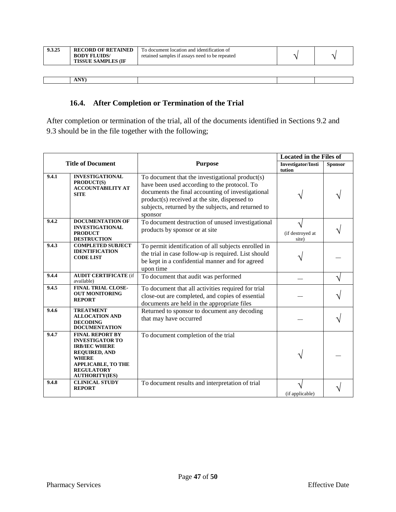| 9.3.25 | <b>RECORD OF RETAINED</b><br><b>BODY FLUIDS/</b><br><b>TISSUE SAMPLES (IF</b> | To document location and identification of<br>retained samples if assays need to be repeated |  |
|--------|-------------------------------------------------------------------------------|----------------------------------------------------------------------------------------------|--|
|        |                                                                               |                                                                                              |  |
|        | ANY                                                                           |                                                                                              |  |

#### **16.4. After Completion or Termination of the Trial**

After completion or termination of the trial, all of the documents identified in Sections 9.2 and 9.3 should be in the file together with the following;

|       |                                                                                                                                                                                             |                                                                                                                                                                                                                                                                         | <b>Located in the Files of</b> |                |
|-------|---------------------------------------------------------------------------------------------------------------------------------------------------------------------------------------------|-------------------------------------------------------------------------------------------------------------------------------------------------------------------------------------------------------------------------------------------------------------------------|--------------------------------|----------------|
|       | <b>Title of Document</b>                                                                                                                                                                    | <b>Purpose</b>                                                                                                                                                                                                                                                          | Investigator/Insti<br>tution   | <b>Sponsor</b> |
| 9.4.1 | <b>INVESTIGATIONAL</b><br>PRODUCT(S)<br><b>ACCOUNTABILITY AT</b><br><b>SITE</b>                                                                                                             | To document that the investigational product(s)<br>have been used according to the protocol. To<br>documents the final accounting of investigational<br>product(s) received at the site, dispensed to<br>subjects, returned by the subjects, and returned to<br>sponsor |                                |                |
| 9.4.2 | <b>DOCUMENTATION OF</b><br><b>INVESTIGATIONAL</b><br><b>PRODUCT</b><br><b>DESTRUCTION</b>                                                                                                   | To document destruction of unused investigational<br>products by sponsor or at site                                                                                                                                                                                     | (if destroyed at<br>site)      |                |
| 9.4.3 | <b>COMPLETED SUBJECT</b><br><b>IDENTIFICATION</b><br><b>CODE LIST</b>                                                                                                                       | To permit identification of all subjects enrolled in<br>the trial in case follow-up is required. List should<br>be kept in a confidential manner and for agreed<br>upon time                                                                                            |                                |                |
| 9.4.4 | <b>AUDIT CERTIFICATE (if</b><br>available)                                                                                                                                                  | To document that audit was performed                                                                                                                                                                                                                                    |                                |                |
| 9.4.5 | <b>FINAL TRIAL CLOSE-</b><br><b>OUT MONITORING</b><br><b>REPORT</b>                                                                                                                         | To document that all activities required for trial<br>close-out are completed, and copies of essential<br>documents are held in the appropriate files                                                                                                                   |                                |                |
| 9.4.6 | <b>TREATMENT</b><br><b>ALLOCATION AND</b><br><b>DECODING</b><br><b>DOCUMENTATION</b>                                                                                                        | Returned to sponsor to document any decoding<br>that may have occurred                                                                                                                                                                                                  |                                |                |
| 9.4.7 | <b>FINAL REPORT BY</b><br><b>INVESTIGATOR TO</b><br><b>IRB/IEC WHERE</b><br><b>REQUIRED, AND</b><br><b>WHERE</b><br><b>APPLICABLE, TO THE</b><br><b>REGULATORY</b><br><b>AUTHORITY(IES)</b> | To document completion of the trial                                                                                                                                                                                                                                     |                                |                |
| 9.4.8 | <b>CLINICAL STUDY</b><br><b>REPORT</b>                                                                                                                                                      | To document results and interpretation of trial                                                                                                                                                                                                                         | ٦<br>(if applicable)           |                |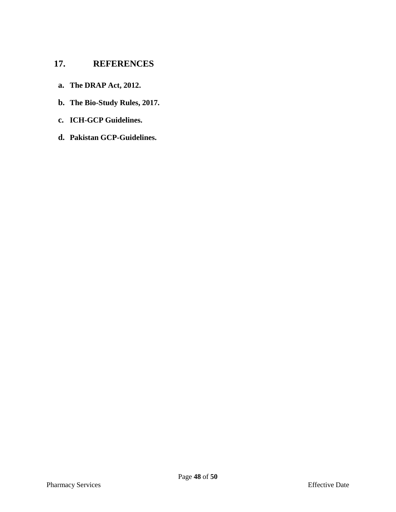# <span id="page-47-0"></span>**17. REFERENCES**

- **a. The DRAP Act, 2012.**
- **b. The Bio-Study Rules, 2017.**
- **c. ICH-GCP Guidelines.**
- **d. Pakistan GCP-Guidelines.**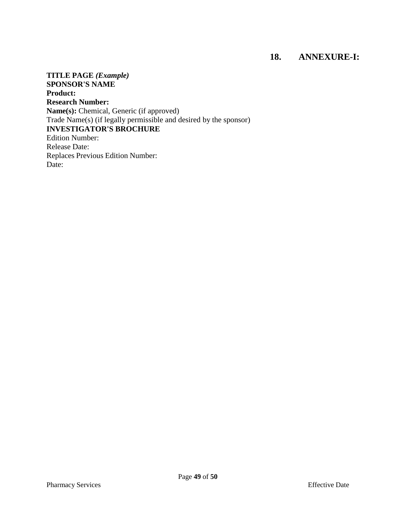# **18. ANNEXURE-I:**

<span id="page-48-0"></span>**TITLE PAGE** *(Example)* **SPONSOR'S NAME Product: Research Number: Name(s):** Chemical, Generic (if approved) Trade Name(s) (if legally permissible and desired by the sponsor) **INVESTIGATOR'S BROCHURE** Edition Number: Release Date: Replaces Previous Edition Number: Date: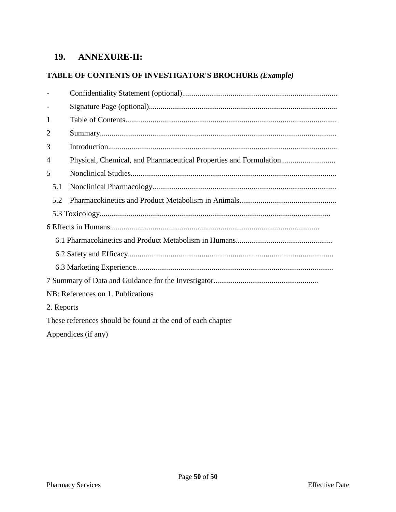# <span id="page-49-0"></span>**19. ANNEXURE-II:**

# **TABLE OF CONTENTS OF INVESTIGATOR'S BROCHURE** *(Example)*

| 1          |                                                                   |
|------------|-------------------------------------------------------------------|
| 2          |                                                                   |
| 3          |                                                                   |
| 4          | Physical, Chemical, and Pharmaceutical Properties and Formulation |
| 5          |                                                                   |
| 5.1        |                                                                   |
| 5.2        |                                                                   |
|            |                                                                   |
|            |                                                                   |
|            |                                                                   |
|            |                                                                   |
|            |                                                                   |
|            |                                                                   |
|            | NB: References on 1. Publications                                 |
| 2. Reports |                                                                   |
|            | These references should be found at the end of each chapter       |
|            | Appendices (if any)                                               |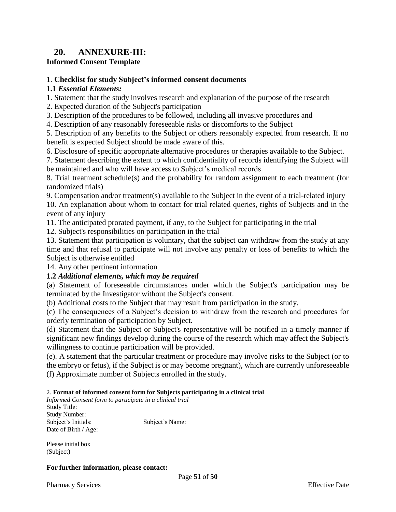# <span id="page-50-0"></span>**20. ANNEXURE-III:**

#### **Informed Consent Template**

#### 1. **Checklist for study Subject's informed consent documents**

#### **1.1** *Essential Elements:*

1. Statement that the study involves research and explanation of the purpose of the research

2. Expected duration of the Subject's participation

3. Description of the procedures to be followed, including all invasive procedures and

4. Description of any reasonably foreseeable risks or discomforts to the Subject

5. Description of any benefits to the Subject or others reasonably expected from research. If no benefit is expected Subject should be made aware of this.

6. Disclosure of specific appropriate alternative procedures or therapies available to the Subject.

7. Statement describing the extent to which confidentiality of records identifying the Subject will be maintained and who will have access to Subject's medical records

8. Trial treatment schedule(s) and the probability for random assignment to each treatment (for randomized trials)

9. Compensation and/or treatment(s) available to the Subject in the event of a trial-related injury

10. An explanation about whom to contact for trial related queries, rights of Subjects and in the event of any injury

11. The anticipated prorated payment, if any, to the Subject for participating in the trial

12. Subject's responsibilities on participation in the trial

13. Statement that participation is voluntary, that the subject can withdraw from the study at any time and that refusal to participate will not involve any penalty or loss of benefits to which the Subject is otherwise entitled

14. Any other pertinent information

#### **1.2** *Additional elements, which may be required*

(a) Statement of foreseeable circumstances under which the Subject's participation may be terminated by the Investigator without the Subject's consent.

(b) Additional costs to the Subject that may result from participation in the study.

(c) The consequences of a Subject's decision to withdraw from the research and procedures for orderly termination of participation by Subject.

(d) Statement that the Subject or Subject's representative will be notified in a timely manner if significant new findings develop during the course of the research which may affect the Subject's willingness to continue participation will be provided.

(e). A statement that the particular treatment or procedure may involve risks to the Subject (or to the embryo or fetus), if the Subject is or may become pregnant), which are currently unforeseeable (f) Approximate number of Subjects enrolled in the study.

#### 2. **Format of informed consent form for Subjects participating in a clinical trial**

*Informed Consent form to participate in a clinical trial* Study Title: Study Number: Subject's Initials: Subject's Name: Date of Birth / Age:

Please initial box (Subject)

#### **For further information, please contact:**